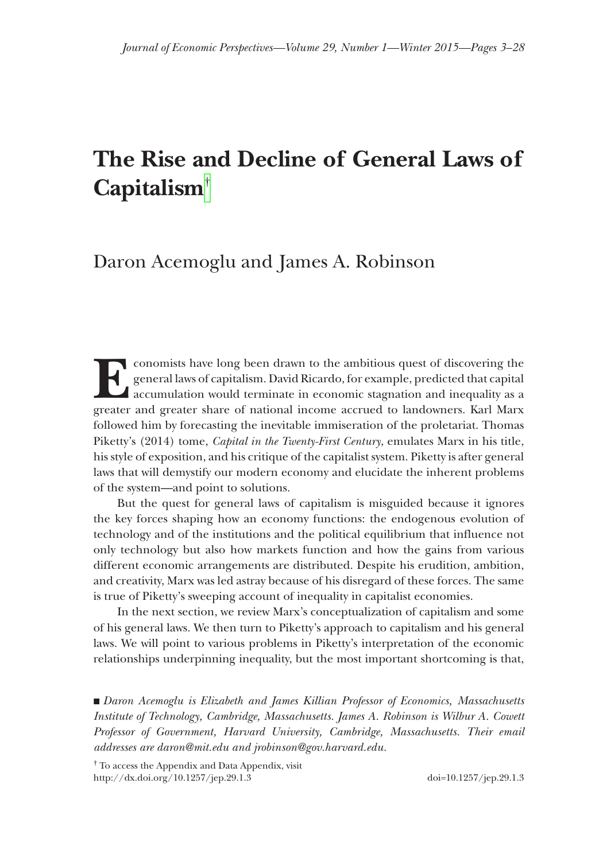# **The Rise and Decline of General Laws of Capitalism**[†](#page-0-0)

# Daron Acemoglu and James A. Robinson

**Economists have long been drawn to the ambitious quest of discovering the general laws of capitalism. David Ricardo, for example, predicted that capital accumulation would terminate in economic stagnation and inequality a** general laws of capitalism. David Ricardo, for example, predicted that capital accumulation would terminate in economic stagnation and inequality as a greater and greater share of national income accrued to landowners. Karl Marx followed him by forecasting the inevitable immiseration of the proletariat. Thomas Piketty's (2014) tome, *Capital in the Twenty-First Century*, emulates Marx in his title, his style of exposition, and his critique of the capitalist system. Piketty is after general laws that will demystify our modern economy and elucidate the inherent problems of the system—and point to solutions.

But the quest for general laws of capitalism is misguided because it ignores the key forces shaping how an economy functions: the endogenous evolution of technology and of the institutions and the political equilibrium that influence not only technology but also how markets function and how the gains from various different economic arrangements are distributed. Despite his erudition, ambition, and creativity, Marx was led astray because of his disregard of these forces. The same is true of Piketty's sweeping account of inequality in capitalist economies.

In the next section, we review Marx's conceptualization of capitalism and some of his general laws. We then turn to Piketty's approach to capitalism and his general laws. We will point to various problems in Piketty's interpretation of the economic relationships underpinning inequality, but the most important shortcoming is that,

■ *Daron Acemoglu is Elizabeth and James Killian Professor of Economics, Massachusetts Institute of Technology, Cambridge, Massachusetts. James A. Robinson is Wilbur A. Cowett Professor of Government, Harvard University, Cambridge, Massachusetts. Their email addresses are [daron@mit.edu](mailto:daron@mit.edu) and jrobinson@gov.harvard.edu.*

<span id="page-0-0"></span>† To access the Appendix and Data Appendix, visit http://dx.doi.org/10.1257/jep.29.1.3 doi=10.1257/jep.29.1.3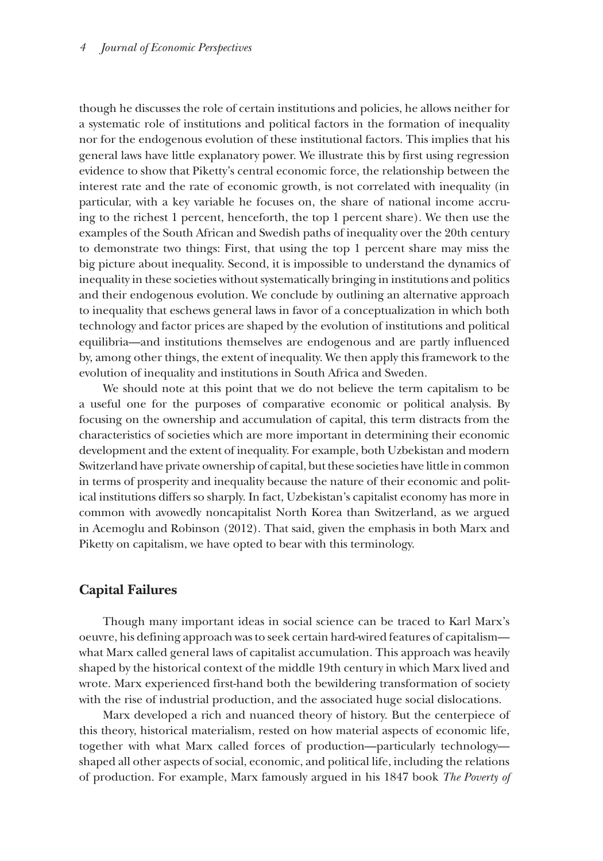though he discusses the role of certain institutions and policies, he allows neither for a systematic role of institutions and political factors in the formation of inequality nor for the endogenous evolution of these institutional factors. This implies that his general laws have little explanatory power. We illustrate this by first using regression evidence to show that Piketty's central economic force, the relationship between the interest rate and the rate of economic growth, is not correlated with inequality (in particular, with a key variable he focuses on, the share of national income accruing to the richest 1 percent, henceforth, the top 1 percent share). We then use the examples of the South African and Swedish paths of inequality over the 20th century to demonstrate two things: First, that using the top 1 percent share may miss the big picture about inequality. Second, it is impossible to understand the dynamics of inequality in these societies without systematically bringing in institutions and politics and their endogenous evolution. We conclude by outlining an alternative approach to inequality that eschews general laws in favor of a conceptualization in which both technology and factor prices are shaped by the evolution of institutions and political equilibria—and institutions themselves are endogenous and are partly influenced by, among other things, the extent of inequality. We then apply this framework to the evolution of inequality and institutions in South Africa and Sweden.

We should note at this point that we do not believe the term capitalism to be a useful one for the purposes of comparative economic or political analysis. By focusing on the ownership and accumulation of capital, this term distracts from the characteristics of societies which are more important in determining their economic development and the extent of inequality. For example, both Uzbekistan and modern Switzerland have private ownership of capital, but these societies have little in common in terms of prosperity and inequality because the nature of their economic and political institutions differs so sharply. In fact, Uzbekistan's capitalist economy has more in common with avowedly noncapitalist North Korea than Switzerland, as we argued in Acemoglu and Robinson (2012). That said, given the emphasis in both Marx and Piketty on capitalism, we have opted to bear with this terminology.

## **Capital Failures**

Though many important ideas in social science can be traced to Karl Marx's oeuvre, his defining approach was to seek certain hard-wired features of capitalism what Marx called general laws of capitalist accumulation. This approach was heavily shaped by the historical context of the middle 19th century in which Marx lived and wrote. Marx experienced first-hand both the bewildering transformation of society with the rise of industrial production, and the associated huge social dislocations.

Marx developed a rich and nuanced theory of history. But the centerpiece of this theory, historical materialism, rested on how material aspects of economic life, together with what Marx called forces of production—particularly technology shaped all other aspects of social, economic, and political life, including the relations of production. For example, Marx famously argued in his 1847 book *The Poverty of*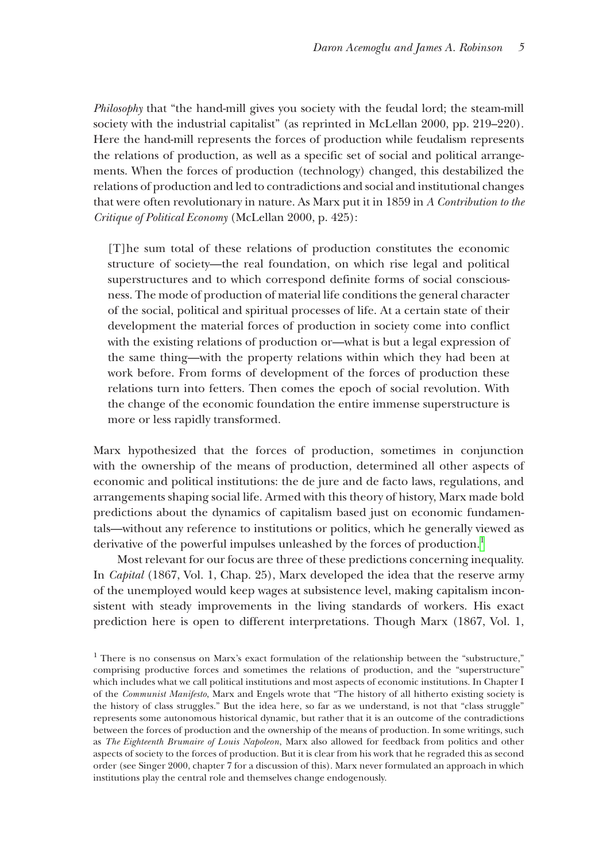*Philosophy* that "the hand-mill gives you society with the feudal lord; the steam-mill society with the industrial capitalist" (as reprinted in McLellan 2000, pp. 219–220). Here the hand-mill represents the forces of production while feudalism represents the relations of production, as well as a specific set of social and political arrangements. When the forces of production (technology) changed, this destabilized the relations of production and led to contradictions and social and institutional changes that were often revolutionary in nature. As Marx put it in 1859 in *A Contribution to the Critique of Political Economy* (McLellan 2000, p. 425):

[T]he sum total of these relations of production constitutes the economic structure of society—the real foundation, on which rise legal and political superstructures and to which correspond definite forms of social consciousness. The mode of production of material life conditions the general character of the social, political and spiritual processes of life. At a certain state of their development the material forces of production in society come into conflict with the existing relations of production or—what is but a legal expression of the same thing—with the property relations within which they had been at work before. From forms of development of the forces of production these relations turn into fetters. Then comes the epoch of social revolution. With the change of the economic foundation the entire immense superstructure is more or less rapidly transformed.

Marx hypothesized that the forces of production, sometimes in conjunction with the ownership of the means of production, determined all other aspects of economic and political institutions: the de jure and de facto laws, regulations, and arrangements shaping social life. Armed with this theory of history, Marx made bold predictions about the dynamics of capitalism based just on economic fundamentals—without any reference to institutions or politics, which he generally viewed as derivative of the powerful impulses unleashed by the forces of production.<sup>1</sup>

Most relevant for our focus are three of these predictions concerning inequality. In *Capital* (1867, Vol. 1, Chap. 25), Marx developed the idea that the reserve army of the unemployed would keep wages at subsistence level, making capitalism inconsistent with steady improvements in the living standards of workers. His exact prediction here is open to different interpretations. Though Marx (1867, Vol. 1,

<span id="page-2-0"></span><sup>1</sup> There is no consensus on Marx's exact formulation of the relationship between the "substructure," comprising productive forces and sometimes the relations of production, and the "superstructure" which includes what we call political institutions and most aspects of economic institutions. In Chapter I of the *Communist Manifesto*, Marx and Engels wrote that "The history of all hitherto existing society is the history of class struggles." But the idea here, so far as we understand, is not that "class struggle" represents some autonomous historical dynamic, but rather that it is an outcome of the contradictions between the forces of production and the ownership of the means of production. In some writings, such as *The Eighteenth Brumaire of Louis Napoleon*, Marx also allowed for feedback from politics and other aspects of society to the forces of production. But it is clear from his work that he regraded this as second order (see Singer 2000, chapter 7 for a discussion of this). Marx never formulated an approach in which institutions play the central role and themselves change endogenously.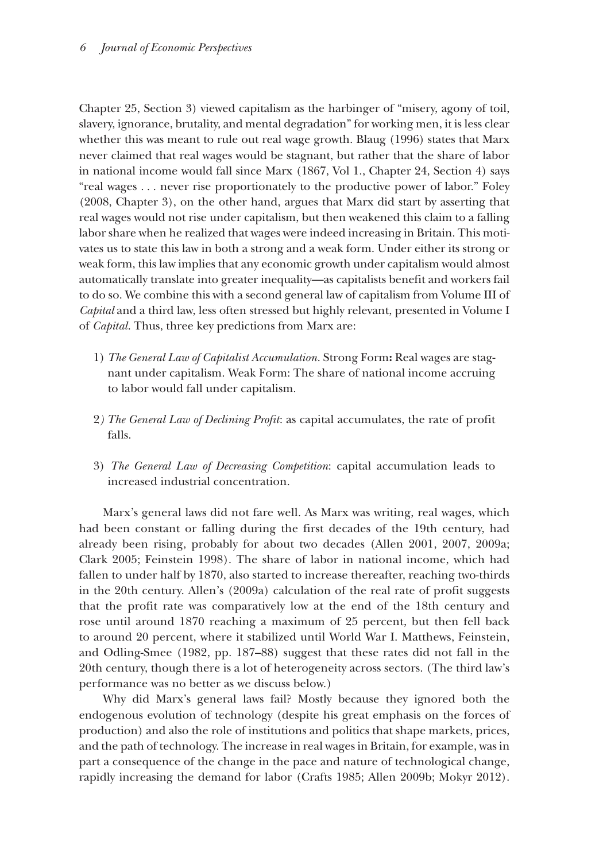Chapter 25, Section 3) viewed capitalism as the harbinger of "misery, agony of toil, slavery, ignorance, brutality, and mental degradation" for working men, it is less clear whether this was meant to rule out real wage growth. Blaug (1996) states that Marx never claimed that real wages would be stagnant, but rather that the share of labor in national income would fall since Marx (1867, Vol 1., Chapter 24, Section 4) says "real wages . . . never rise proportionately to the productive power of labor." Foley (2008, Chapter 3), on the other hand, argues that Marx did start by asserting that real wages would not rise under capitalism, but then weakened this claim to a falling labor share when he realized that wages were indeed increasing in Britain. This motivates us to state this law in both a strong and a weak form. Under either its strong or weak form, this law implies that any economic growth under capitalism would almost automatically translate into greater inequality—as capitalists benefit and workers fail to do so. We combine this with a second general law of capitalism from Volume III of *Capital* and a third law, less often stressed but highly relevant, presented in Volume I of *Capital*. Thus, three key predictions from Marx are:

- 1) *The General Law of Capitalist Accumulation*. Strong Form**:** Real wages are stagnant under capitalism. Weak Form: The share of national income accruing to labor would fall under capitalism.
- 2*) The General Law of Declining Profit*: as capital accumulates, the rate of profit falls.
- 3) *The General Law of Decreasing Competition*: capital accumulation leads to increased industrial concentration.

Marx's general laws did not fare well. As Marx was writing, real wages, which had been constant or falling during the first decades of the 19th century, had already been rising, probably for about two decades (Allen 2001, 2007, 2009a; Clark 2005; Feinstein 1998). The share of labor in national income, which had fallen to under half by 1870, also started to increase thereafter, reaching two-thirds in the 20th century. Allen's (2009a) calculation of the real rate of profit suggests that the profit rate was comparatively low at the end of the 18th century and rose until around 1870 reaching a maximum of 25 percent, but then fell back to around 20 percent, where it stabilized until World War I. Matthews, Feinstein, and Odling-Smee (1982, pp. 187–88) suggest that these rates did not fall in the 20th century, though there is a lot of heterogeneity across sectors. (The third law's performance was no better as we discuss below.)

Why did Marx's general laws fail? Mostly because they ignored both the endogenous evolution of technology (despite his great emphasis on the forces of production) and also the role of institutions and politics that shape markets, prices, and the path of technology. The increase in real wages in Britain, for example, was in part a consequence of the change in the pace and nature of technological change, rapidly increasing the demand for labor (Crafts 1985; Allen 2009b; Mokyr 2012).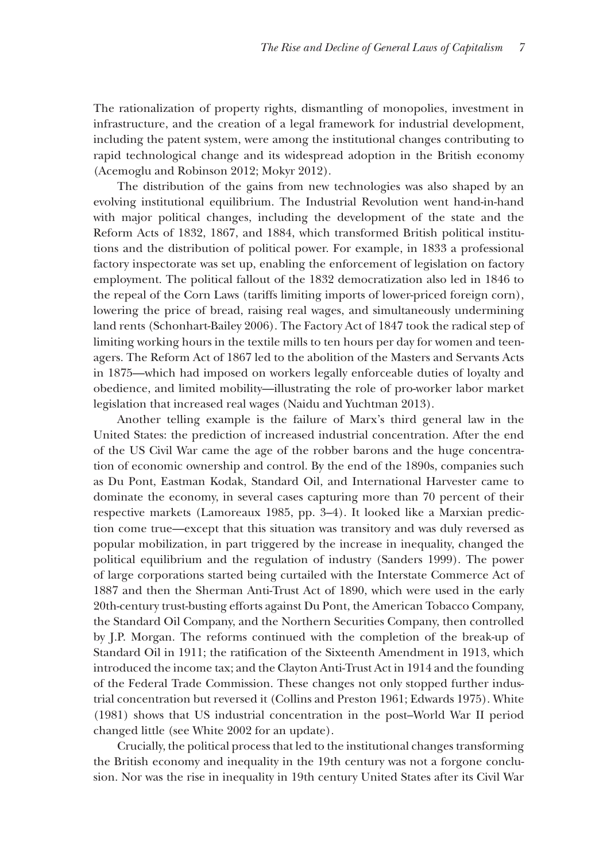The rationalization of property rights, dismantling of monopolies, investment in infrastructure, and the creation of a legal framework for industrial development, including the patent system, were among the institutional changes contributing to rapid technological change and its widespread adoption in the British economy (Acemoglu and Robinson 2012; Mokyr 2012).

The distribution of the gains from new technologies was also shaped by an evolving institutional equilibrium. The Industrial Revolution went hand-in-hand with major political changes, including the development of the state and the Reform Acts of 1832, 1867, and 1884, which transformed British political institutions and the distribution of political power. For example, in 1833 a professional factory inspectorate was set up, enabling the enforcement of legislation on factory employment. The political fallout of the 1832 democratization also led in 1846 to the repeal of the Corn Laws (tariffs limiting imports of lower-priced foreign corn), lowering the price of bread, raising real wages, and simultaneously undermining land rents (Schonhart-Bailey 2006). The Factory Act of 1847 took the radical step of limiting working hours in the textile mills to ten hours per day for women and teenagers. The Reform Act of 1867 led to the abolition of the Masters and Servants Acts in 1875—which had imposed on workers legally enforceable duties of loyalty and obedience, and limited mobility—illustrating the role of pro-worker labor market legislation that increased real wages (Naidu and Yuchtman 2013).

Another telling example is the failure of Marx's third general law in the United States: the prediction of increased industrial concentration. After the end of the US Civil War came the age of the robber barons and the huge concentration of economic ownership and control. By the end of the 1890s, companies such as Du Pont, Eastman Kodak, Standard Oil, and International Harvester came to dominate the economy, in several cases capturing more than 70 percent of their respective markets (Lamoreaux 1985, pp. 3–4). It looked like a Marxian prediction come true—except that this situation was transitory and was duly reversed as popular mobilization, in part triggered by the increase in inequality, changed the political equilibrium and the regulation of industry (Sanders 1999). The power of large corporations started being curtailed with the Interstate Commerce Act of 1887 and then the Sherman Anti-Trust Act of 1890, which were used in the early 20th-century trust-busting efforts against Du Pont, the American Tobacco Company, the Standard Oil Company, and the Northern Securities Company, then controlled by J.P. Morgan. The reforms continued with the completion of the break-up of Standard Oil in 1911; the ratification of the Sixteenth Amendment in 1913, which introduced the income tax; and the Clayton Anti-Trust Act in 1914 and the founding of the Federal Trade Commission. These changes not only stopped further industrial concentration but reversed it (Collins and Preston 1961; Edwards 1975). White (1981) shows that US industrial concentration in the post–World War II period changed little (see White 2002 for an update).

Crucially, the political process that led to the institutional changes transforming the British economy and inequality in the 19th century was not a forgone conclusion. Nor was the rise in inequality in 19th century United States after its Civil War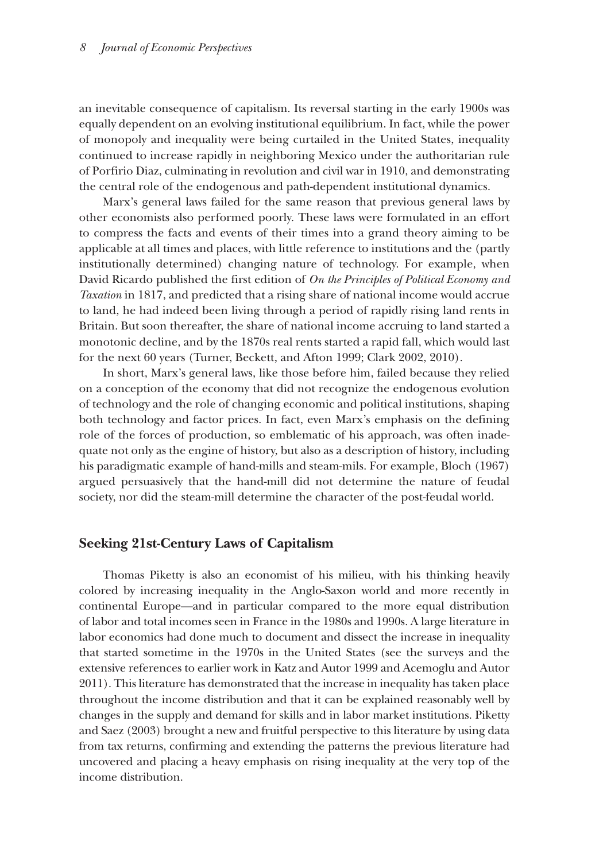an inevitable consequence of capitalism. Its reversal starting in the early 1900s was equally dependent on an evolving institutional equilibrium. In fact, while the power of monopoly and inequality were being curtailed in the United States, inequality continued to increase rapidly in neighboring Mexico under the authoritarian rule of Porfirio Diaz, culminating in revolution and civil war in 1910, and demonstrating the central role of the endogenous and path-dependent institutional dynamics.

Marx's general laws failed for the same reason that previous general laws by other economists also performed poorly. These laws were formulated in an effort to compress the facts and events of their times into a grand theory aiming to be applicable at all times and places, with little reference to institutions and the (partly institutionally determined) changing nature of technology. For example, when David Ricardo published the first edition of *On the Principles of Political Economy and Taxation* in 1817, and predicted that a rising share of national income would accrue to land, he had indeed been living through a period of rapidly rising land rents in Britain. But soon thereafter, the share of national income accruing to land started a monotonic decline, and by the 1870s real rents started a rapid fall, which would last for the next 60 years (Turner, Beckett, and Afton 1999; Clark 2002, 2010).

In short, Marx's general laws, like those before him, failed because they relied on a conception of the economy that did not recognize the endogenous evolution of technology and the role of changing economic and political institutions, shaping both technology and factor prices. In fact, even Marx's emphasis on the defining role of the forces of production, so emblematic of his approach, was often inadequate not only as the engine of history, but also as a description of history, including his paradigmatic example of hand-mills and steam-mils. For example, Bloch (1967) argued persuasively that the hand-mill did not determine the nature of feudal society, nor did the steam-mill determine the character of the post-feudal world.

# **Seeking 21st-Century Laws of Capitalism**

Thomas Piketty is also an economist of his milieu, with his thinking heavily colored by increasing inequality in the Anglo-Saxon world and more recently in continental Europe—and in particular compared to the more equal distribution of labor and total incomes seen in France in the 1980s and 1990s. A large literature in labor economics had done much to document and dissect the increase in inequality that started sometime in the 1970s in the United States (see the surveys and the extensive references to earlier work in Katz and Autor 1999 and Acemoglu and Autor 2011). This literature has demonstrated that the increase in inequality has taken place throughout the income distribution and that it can be explained reasonably well by changes in the supply and demand for skills and in labor market institutions. Piketty and Saez (2003) brought a new and fruitful perspective to this literature by using data from tax returns, confirming and extending the patterns the previous literature had uncovered and placing a heavy emphasis on rising inequality at the very top of the income distribution.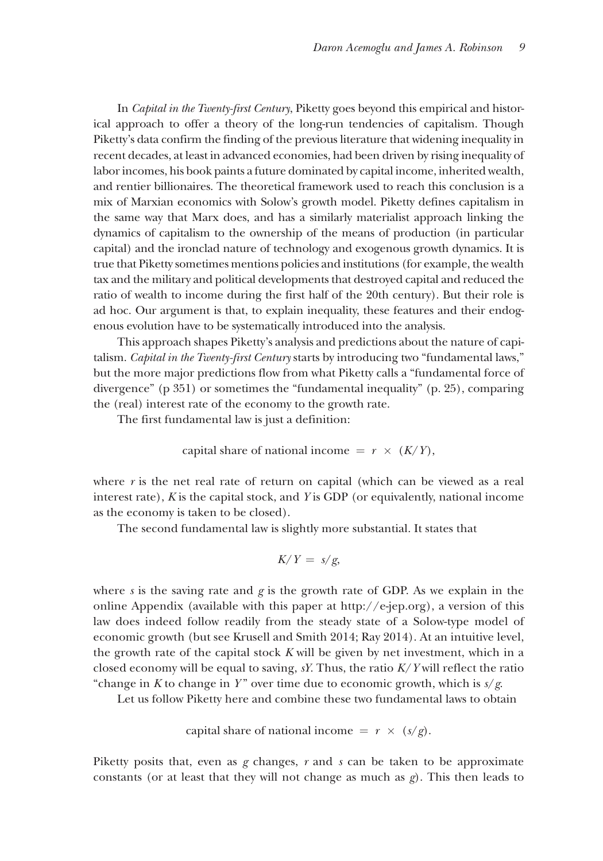In *Capital in the Twenty-first Century*, Piketty goes beyond this empirical and historical approach to offer a theory of the long-run tendencies of capitalism. Though Piketty's data confirm the finding of the previous literature that widening inequality in recent decades, at least in advanced economies, had been driven by rising inequality of labor incomes, his book paints a future dominated by capital income, inherited wealth, and rentier billionaires. The theoretical framework used to reach this conclusion is a mix of Marxian economics with Solow's growth model. Piketty defines capitalism in the same way that Marx does, and has a similarly materialist approach linking the dynamics of capitalism to the ownership of the means of production (in particular capital) and the ironclad nature of technology and exogenous growth dynamics. It is true that Piketty sometimes mentions policies and institutions (for example, the wealth tax and the military and political developments that destroyed capital and reduced the ratio of wealth to income during the first half of the 20th century). But their role is ad hoc. Our argument is that, to explain inequality, these features and their endogenous evolution have to be systematically introduced into the analysis.

This approach shapes Piketty's analysis and predictions about the nature of capitalism. *Capital in the Twenty-first Century* starts by introducing two "fundamental laws," but the more major predictions flow from what Piketty calls a "fundamental force of divergence" (p 351) or sometimes the "fundamental inequality" (p. 25), comparing the (real) interest rate of the economy to the growth rate.

The first fundamental law is just a definition:

capital share of national income = 
$$
r \times (K/Y)
$$
,

where  $r$  is the net real rate of return on capital (which can be viewed as a real interest rate), *K* is the capital stock, and *Y* is GDP (or equivalently, national income as the economy is taken to be closed).

The second fundamental law is slightly more substantial. It states that

$$
K/Y = s/g,
$$

where *s* is the saving rate and  $g$  is the growth rate of GDP. As we explain in the online Appendix (available with this paper at http://e-jep.org), a version of this law does indeed follow readily from the steady state of a Solow-type model of economic growth (but see Krusell and Smith 2014; Ray 2014). At an intuitive level, the growth rate of the capital stock *K* will be given by net investment, which in a closed economy will be equal to saving, *sY*. Thus, the ratio *K*/*Y* will reflect the ratio "change in *K* to change in *Y*" over time due to economic growth, which is  $s/g$ .

Let us follow Piketty here and combine these two fundamental laws to obtain

capital share of national income =  $r \times (s/g)$ .

Piketty posits that, even as *g* changes, *r* and *s* can be taken to be approximate constants (or at least that they will not change as much as *g*). This then leads to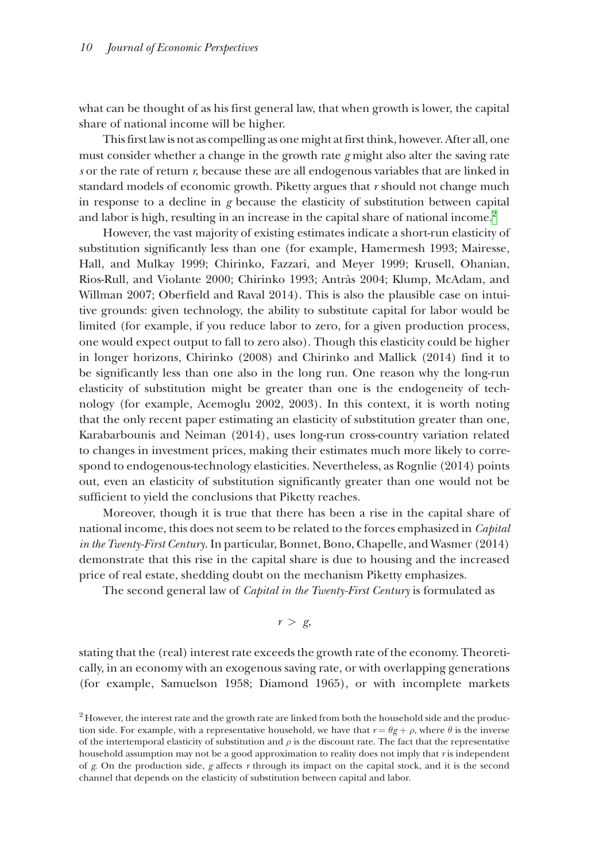what can be thought of as his first general law, that when growth is lower, the capital share of national income will be higher.

This first law is not as compelling as one might at first think, however. After all, one must consider whether a change in the growth rate *g* might also alter the saving rate *s* or the rate of return *r*, because these are all endogenous variables that are linked in standard models of economic growth. Piketty argues that *r* should not change much in response to a decline in *g* because the elasticity of substitution between capital and labor is high, resulting in an increase in the capital share of national income.<sup>2</sup>

However, the vast majority of existing estimates indicate a short-run elasticity of substitution significantly less than one (for example, Hamermesh 1993; Mairesse, Hall, and Mulkay 1999; Chirinko, Fazzari, and Meyer 1999; Krusell, Ohanian, Rios-Rull, and Violante 2000; Chirinko 1993; Antràs 2004; Klump, McAdam, and Willman 2007; Oberfield and Raval 2014). This is also the plausible case on intuitive grounds: given technology, the ability to substitute capital for labor would be limited (for example, if you reduce labor to zero, for a given production process, one would expect output to fall to zero also). Though this elasticity could be higher in longer horizons, Chirinko (2008) and Chirinko and Mallick (2014) find it to be significantly less than one also in the long run. One reason why the long-run elasticity of substitution might be greater than one is the endogeneity of technology (for example, Acemoglu 2002, 2003). In this context, it is worth noting that the only recent paper estimating an elasticity of substitution greater than one, Karabarbounis and Neiman (2014), uses long-run cross-country variation related to changes in investment prices, making their estimates much more likely to correspond to endogenous-technology elasticities. Nevertheless, as Rognlie (2014) points out, even an elasticity of substitution significantly greater than one would not be sufficient to yield the conclusions that Piketty reaches.

Moreover, though it is true that there has been a rise in the capital share of national income, this does not seem to be related to the forces emphasized in *Capital in the Twenty-First Century*. In particular, Bonnet, Bono, Chapelle, and Wasmer (2014) demonstrate that this rise in the capital share is due to housing and the increased price of real estate, shedding doubt on the mechanism Piketty emphasizes.

The second general law of *Capital in the Twenty-First Century* is formulated as

 $r > g$ 

stating that the (real) interest rate exceeds the growth rate of the economy. Theoretically, in an economy with an exogenous saving rate, or with overlapping generations (for example, Samuelson 1958; Diamond 1965), or with incomplete markets

<span id="page-7-0"></span><sup>&</sup>lt;sup>2</sup> However, the interest rate and the growth rate are linked from both the household side and the production side. For example, with a representative household, we have that  $r = \theta g + \rho$ , where  $\theta$  is the inverse of the intertemporal elasticity of substitution and  $\rho$  is the discount rate. The fact that the representative household assumption may not be a good approximation to reality does not imply that *r* is independent of *g*. On the production side, *g* affects *r* through its impact on the capital stock, and it is the second channel that depends on the elasticity of substitution between capital and labor.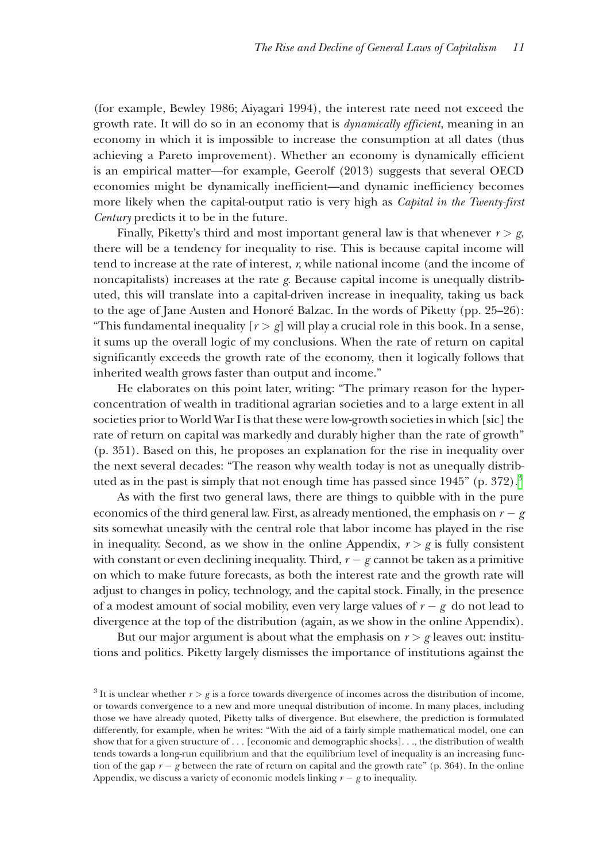(for example, Bewley 1986; Aiyagari 1994), the interest rate need not exceed the growth rate. It will do so in an economy that is *dynamically efficient*, meaning in an economy in which it is impossible to increase the consumption at all dates (thus achieving a Pareto improvement). Whether an economy is dynamically efficient is an empirical matter—for example, Geerolf (2013) suggests that several OECD economies might be dynamically inefficient—and dynamic inefficiency becomes more likely when the capital-output ratio is very high as *Capital in the Twenty-first Century* predicts it to be in the future.

Finally, Piketty's third and most important general law is that whenever  $r > g$ , there will be a tendency for inequality to rise. This is because capital income will tend to increase at the rate of interest, *r*, while national income (and the income of noncapitalists) increases at the rate *g*. Because capital income is unequally distributed, this will translate into a capital-driven increase in inequality, taking us back to the age of Jane Austen and Honoré Balzac. In the words of Piketty (pp. 25–26): "This fundamental inequality  $[r > g]$  will play a crucial role in this book. In a sense, it sums up the overall logic of my conclusions. When the rate of return on capital significantly exceeds the growth rate of the economy, then it logically follows that inherited wealth grows faster than output and income."

He elaborates on this point later, writing: "The primary reason for the hyperconcentration of wealth in traditional agrarian societies and to a large extent in all societies prior to World War I is that these were low-growth societies in which [sic] the rate of return on capital was markedly and durably higher than the rate of growth" (p. 351). Based on this, he proposes an explanation for the rise in inequality over the next several decades: "The reason why wealth today is not as unequally distributed as in the past is simply that not enough time has passed since  $1945$ " (p. [3](#page-8-0)72).<sup>3</sup>

As with the first two general laws, there are things to quibble with in the pure economics of the third general law. First, as already mentioned, the emphasis on  $r - g$ sits somewhat uneasily with the central role that labor income has played in the rise in inequality. Second, as we show in the online Appendix,  $r > g$  is fully consistent with constant or even declining inequality. Third,  $r - g$  cannot be taken as a primitive on which to make future forecasts, as both the interest rate and the growth rate will adjust to changes in policy, technology, and the capital stock. Finally, in the presence of a modest amount of social mobility, even very large values of  $r - g$  do not lead to divergence at the top of the distribution (again, as we show in the online Appendix).

But our major argument is about what the emphasis on  $r > g$  leaves out: institutions and politics. Piketty largely dismisses the importance of institutions against the

<span id="page-8-0"></span><sup>&</sup>lt;sup>3</sup> It is unclear whether  $r > g$  is a force towards divergence of incomes across the distribution of income, or towards convergence to a new and more unequal distribution of income. In many places, including those we have already quoted, Piketty talks of divergence. But elsewhere, the prediction is formulated differently, for example, when he writes: "With the aid of a fairly simple mathematical model, one can show that for a given structure of . . . [economic and demographic shocks]. . ., the distribution of wealth tends towards a long-run equilibrium and that the equilibrium level of inequality is an increasing function of the gap  $r - g$  between the rate of return on capital and the growth rate" (p. 364). In the online Appendix, we discuss a variety of economic models linking *r* − *g* to inequality.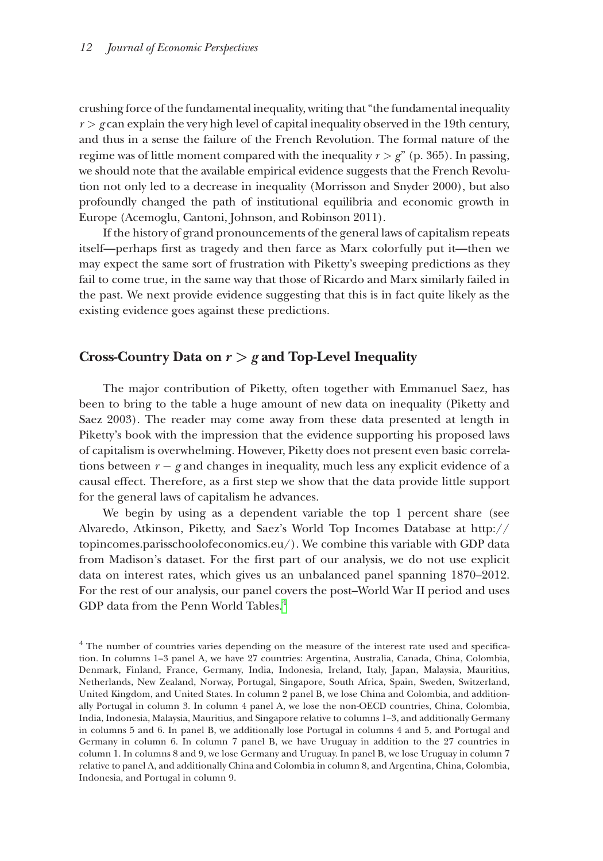crushing force of the fundamental inequality, writing that "the fundamental inequality  $r > g$  can explain the very high level of capital inequality observed in the 19th century, and thus in a sense the failure of the French Revolution. The formal nature of the regime was of little moment compared with the inequality  $r > g''$  (p. 365). In passing, we should note that the available empirical evidence suggests that the French Revolution not only led to a decrease in inequality (Morrisson and Snyder 2000), but also profoundly changed the path of institutional equilibria and economic growth in Europe (Acemoglu, Cantoni, Johnson, and Robinson 2011).

If the history of grand pronouncements of the general laws of capitalism repeats itself—perhaps first as tragedy and then farce as Marx colorfully put it—then we may expect the same sort of frustration with Piketty's sweeping predictions as they fail to come true, in the same way that those of Ricardo and Marx similarly failed in the past. We next provide evidence suggesting that this is in fact quite likely as the existing evidence goes against these predictions.

# **Cross-Country Data on** *r* **>** *g* **and Top-Level Inequality**

The major contribution of Piketty, often together with Emmanuel Saez, has been to bring to the table a huge amount of new data on inequality (Piketty and Saez 2003). The reader may come away from these data presented at length in Piketty's book with the impression that the evidence supporting his proposed laws of capitalism is overwhelming. However, Piketty does not present even basic correlations between *r* − *g* and changes in inequality, much less any explicit evidence of a causal effect. Therefore, as a first step we show that the data provide little support for the general laws of capitalism he advances.

We begin by using as a dependent variable the top 1 percent share (see Alvaredo, Atkinson, Piketty, and Saez's World Top Incomes Database at http:// topincomes.parisschoolofeconomics.eu/). We combine this variable with GDP data from Madison's dataset. For the first part of our analysis, we do not use explicit data on interest rates, which gives us an unbalanced panel spanning 1870–2012. For the rest of our analysis, our panel covers the post–World War II period and uses GDP data from the Penn World Tables.<sup>[4](#page-9-0)</sup>

<span id="page-9-0"></span><sup>&</sup>lt;sup>4</sup> The number of countries varies depending on the measure of the interest rate used and specification. In columns 1–3 panel A, we have 27 countries: Argentina, Australia, Canada, China, Colombia, Denmark, Finland, France, Germany, India, Indonesia, Ireland, Italy, Japan, Malaysia, Mauritius, Netherlands, New Zealand, Norway, Portugal, Singapore, South Africa, Spain, Sweden, Switzerland, United Kingdom, and United States. In column 2 panel B, we lose China and Colombia, and additionally Portugal in column 3. In column 4 panel A, we lose the non-OECD countries, China, Colombia, India, Indonesia, Malaysia, Mauritius, and Singapore relative to columns 1–3, and additionally Germany in columns 5 and 6. In panel B, we additionally lose Portugal in columns 4 and 5, and Portugal and Germany in column 6. In column 7 panel B, we have Uruguay in addition to the 27 countries in column 1. In columns 8 and 9, we lose Germany and Uruguay. In panel B, we lose Uruguay in column 7 relative to panel A, and additionally China and Colombia in column 8, and Argentina, China, Colombia, Indonesia, and Portugal in column 9.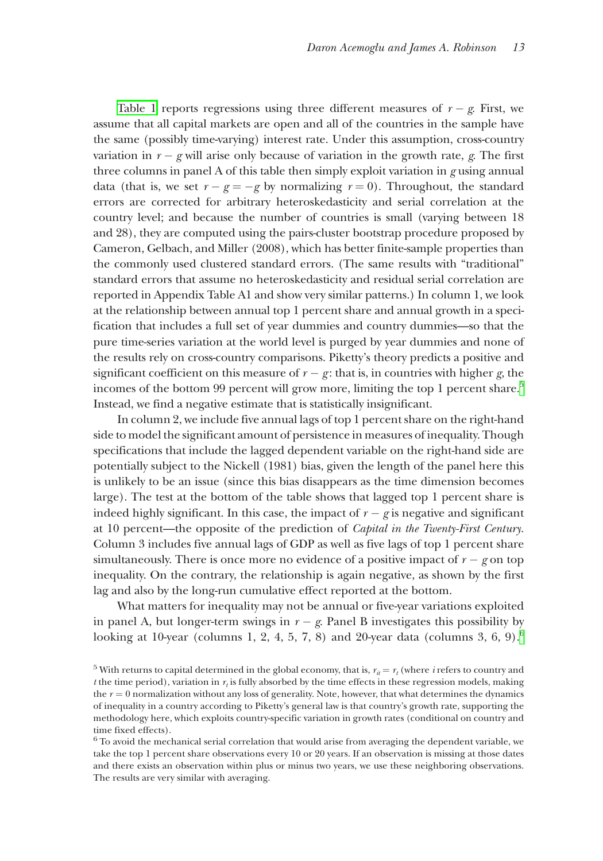[Table 1](#page-11-0) reports regressions using three different measures of  $r - g$ . First, we assume that all capital markets are open and all of the countries in the sample have the same (possibly time-varying) interest rate. Under this assumption, cross-country variation in *r* − *g* will arise only because of variation in the growth rate, *g*. The first three columns in panel A of this table then simply exploit variation in *g* using annual data (that is, we set  $r - g = -g$  by normalizing  $r = 0$ ). Throughout, the standard errors are corrected for arbitrary heteroskedasticity and serial correlation at the country level; and because the number of countries is small (varying between 18 and 28), they are computed using the pairs-cluster bootstrap procedure proposed by Cameron, Gelbach, and Miller (2008), which has better finite-sample properties than the commonly used clustered standard errors. (The same results with "traditional" standard errors that assume no heteroskedasticity and residual serial correlation are reported in Appendix Table A1 and show very similar patterns.) In column 1, we look at the relationship between annual top 1 percent share and annual growth in a specification that includes a full set of year dummies and country dummies—so that the pure time-series variation at the world level is purged by year dummies and none of the results rely on cross-country comparisons. Piketty's theory predicts a positive and significant coefficient on this measure of  $r - g$ : that is, in countries with higher *g*, the incomes of the bottom 99 percent will grow more, limiting the top 1 percent share.<sup>5</sup> Instead, we find a negative estimate that is statistically insignificant.

In column 2, we include five annual lags of top 1 percent share on the right-hand side to model the significant amount of persistence in measures of inequality. Though specifications that include the lagged dependent variable on the right-hand side are potentially subject to the Nickell (1981) bias, given the length of the panel here this is unlikely to be an issue (since this bias disappears as the time dimension becomes large). The test at the bottom of the table shows that lagged top 1 percent share is indeed highly significant. In this case, the impact of  $r - g$  is negative and significant at 10 percent—the opposite of the prediction of *Capital in the Twenty-First Century*. Column 3 includes five annual lags of GDP as well as five lags of top 1 percent share simultaneously. There is once more no evidence of a positive impact of  $r - g$  on top inequality. On the contrary, the relationship is again negative, as shown by the first lag and also by the long-run cumulative effect reported at the bottom.

What matters for inequality may not be annual or five-year variations exploited in panel A, but longer-term swings in  $r - g$ . Panel B investigates this possibility by looking at 10-year (columns 1, 2, 4, 5, 7, 8) and 20-year data (columns 3, 6, 9).<sup>6</sup>

<span id="page-10-0"></span> $^5$  With returns to capital determined in the global economy, that is,  $r_{it} = r_t$  (where *i* refers to country and  $t$  the time period), variation in  $r_t$  is fully absorbed by the time effects in these regression models, making the  $r = 0$  normalization without any loss of generality. Note, however, that what determines the dynamics of inequality in a country according to Piketty's general law is that country's growth rate, supporting the methodology here, which exploits country-specific variation in growth rates (conditional on country and time fixed effects).

<span id="page-10-1"></span> $^6$  To avoid the mechanical serial correlation that would arise from averaging the dependent variable, we take the top 1 percent share observations every 10 or 20 years. If an observation is missing at those dates and there exists an observation within plus or minus two years, we use these neighboring observations. The results are very similar with averaging.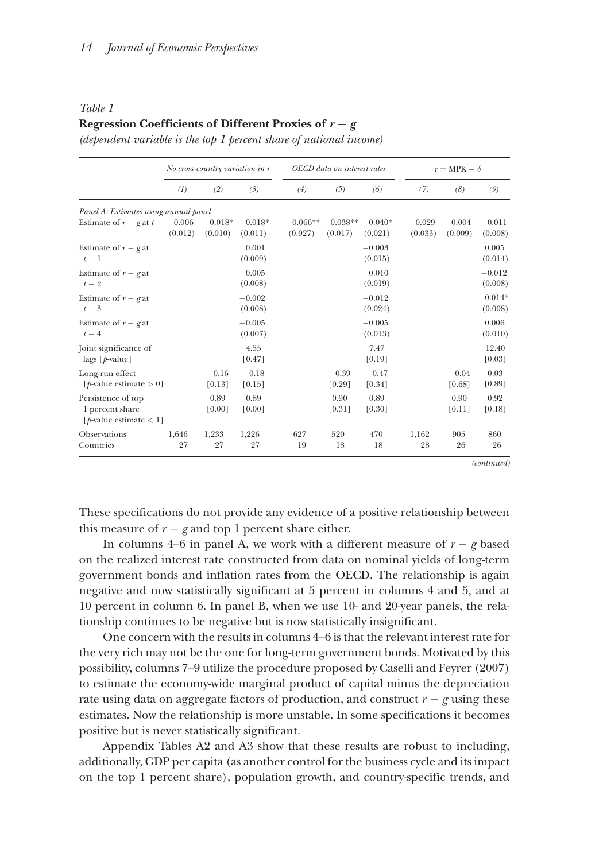# <span id="page-11-0"></span>*Table 1* **Regression Coefficients of Different Proxies of**  $r - g$

|                                                                        | No cross-country variation in r |                      |                      | OECD data on interest rates |                                        |                     | $r = MPK - \delta$ |                     |                     |
|------------------------------------------------------------------------|---------------------------------|----------------------|----------------------|-----------------------------|----------------------------------------|---------------------|--------------------|---------------------|---------------------|
|                                                                        | (1)                             | (2)                  | (3)                  | (4)                         | (5)                                    | (6)                 | (7)                | (8)                 | (9)                 |
| Panel A: Estimates using annual panel                                  |                                 |                      |                      |                             |                                        |                     |                    |                     |                     |
| Estimate of $r - g$ at t                                               | $-0.006$<br>(0.012)             | $-0.018*$<br>(0.010) | $-0.018*$<br>(0.011) | (0.027)                     | $-0.066** -0.038** -0.040*$<br>(0.017) | (0.021)             | 0.029<br>(0.033)   | $-0.004$<br>(0.009) | $-0.011$<br>(0.008) |
| Estimate of $r - g$ at<br>$t-1$                                        |                                 |                      | 0.001<br>(0.009)     |                             |                                        | $-0.003$<br>(0.015) |                    |                     | 0.005<br>(0.014)    |
| Estimate of $r - g$ at<br>$t-2$                                        |                                 |                      | 0.005<br>(0.008)     |                             |                                        | 0.010<br>(0.019)    |                    |                     | $-0.012$<br>(0.008) |
| Estimate of $r - g$ at<br>$t-3$                                        |                                 |                      | $-0.002$<br>(0.008)  |                             |                                        | $-0.012$<br>(0.024) |                    |                     | $0.014*$<br>(0.008) |
| Estimate of $r - g$ at<br>$t-4$                                        |                                 |                      | $-0.005$<br>(0.007)  |                             |                                        | $-0.005$<br>(0.013) |                    |                     | 0.006<br>(0.010)    |
| Joint significance of<br>lags [ $p$ -value]                            |                                 |                      | 4.55<br>[0.47]       |                             |                                        | 7.47<br>[0.19]      |                    |                     | 12.40<br>[0.03]     |
| Long-run effect<br>[ $p$ -value estimate > 0]                          |                                 | $-0.16$<br>[0.13]    | $-0.18$<br>[0.15]    |                             | $-0.39$<br>[0.29]                      | $-0.47$<br>[0.34]   |                    | $-0.04$<br>[0.68]   | 0.03<br>[0.89]      |
| Persistence of top<br>1 percent share<br>[ $p$ -value estimate $< 1$ ] |                                 | 0.89<br>[0.00]       | 0.89<br>[0.00]       |                             | 0.90<br>[0.31]                         | 0.89<br>[0.30]      |                    | 0.90<br>[0.11]      | 0.92<br>[0.18]      |
| Observations<br>Countries                                              | 1,646<br>27                     | 1,233<br>27          | 1,226<br>27          | 627<br>19                   | 520<br>18                              | 470<br>18           | 1,162<br>28        | 905<br>26           | 860<br>26           |

*(dependent variable is the top 1 percent share of national income)*

*(continued)*

These specifications do not provide any evidence of a positive relationship between this measure of  $r - g$  and top 1 percent share either.

In columns 4–6 in panel A, we work with a different measure of  $r - g$  based on the realized interest rate constructed from data on nominal yields of long-term government bonds and inflation rates from the OECD. The relationship is again negative and now statistically significant at 5 percent in columns 4 and 5, and at 10 percent in column 6. In panel B, when we use 10- and 20-year panels, the relationship continues to be negative but is now statistically insignificant.

One concern with the results in columns 4–6 is that the relevant interest rate for the very rich may not be the one for long-term government bonds. Motivated by this possibility, columns 7–9 utilize the procedure proposed by Caselli and Feyrer (2007) to estimate the economy-wide marginal product of capital minus the depreciation rate using data on aggregate factors of production, and construct *r* − *g* using these estimates. Now the relationship is more unstable. In some specifications it becomes positive but is never statistically significant.

Appendix Tables A2 and A3 show that these results are robust to including, additionally, GDP per capita (as another control for the business cycle and its impact on the top 1 percent share), population growth, and country-specific trends, and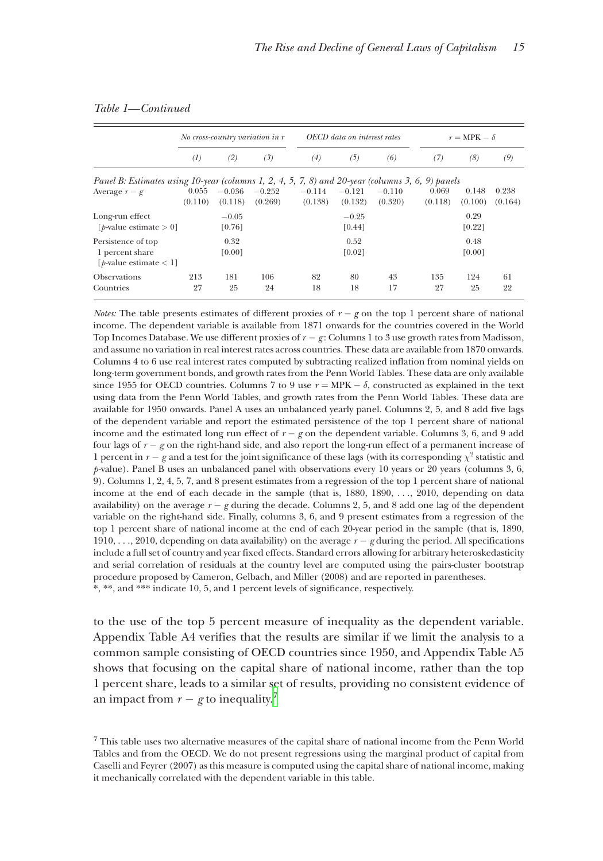|                                                                                                  | No cross-country variation in r |                     |                     | OECD data on interest rates |                     |                     | $r = MPK - \delta$ |                  |                  |
|--------------------------------------------------------------------------------------------------|---------------------------------|---------------------|---------------------|-----------------------------|---------------------|---------------------|--------------------|------------------|------------------|
|                                                                                                  | $\left(1\right)$                | (2)                 | (3)                 | (4)                         | (5)                 | (6)                 | (7)                | (8)              | (9)              |
| Panel B: Estimates using 10-year (columns 1, 2, 4, 5, 7, 8) and 20-year (columns 3, 6, 9) panels |                                 |                     |                     |                             |                     |                     |                    |                  |                  |
| Average $r - g$                                                                                  | 0.055<br>(0.110)                | $-0.036$<br>(0.118) | $-0.252$<br>(0.269) | $-0.114$<br>(0.138)         | $-0.121$<br>(0.132) | $-0.110$<br>(0.320) | 0.069<br>(0.118)   | 0.148<br>(0.100) | 0.238<br>(0.164) |
| Long-run effect<br>[ $p$ -value estimate > 0]                                                    |                                 | $-0.05$<br>$[0.76]$ |                     |                             | $-0.25$<br>[0.44]   |                     |                    | 0.29<br>[0.22]   |                  |
| Persistence of top<br>1 percent share<br>[ $p$ -value estimate $< 1$ ]                           |                                 | 0.32<br>[0.00]      |                     |                             | 0.52<br>[0.02]      |                     |                    | 0.48<br>[0.00]   |                  |
| Observations<br>Countries                                                                        | 213<br>27                       | 181<br>25           | 106<br>24           | 82<br>18                    | 80<br>18            | 43<br>17            | 135<br>27          | 124<br>25        | 61<br>22         |

*Notes:* The table presents estimates of different proxies of  $r - g$  on the top 1 percent share of national income. The dependent variable is available from 1871 onwards for the countries covered in the World Top Incomes Database. We use different proxies of *r* − *g* : Columns 1 to 3 use growth rates from Madisson, and assume no variation in real interest rates across countries. These data are available from 1870 onwards. Columns 4 to 6 use real interest rates computed by subtracting realized inflation from nominal yields on long-term government bonds, and growth rates from the Penn World Tables. These data are only available since 1955 for OECD countries. Columns 7 to 9 use  $r = MPK - \delta$ , constructed as explained in the text using data from the Penn World Tables, and growth rates from the Penn World Tables. These data are available for 1950 onwards. Panel A uses an unbalanced yearly panel. Columns 2, 5, and 8 add five lags of the dependent variable and report the estimated persistence of the top 1 percent share of national income and the estimated long run effect of *r* − *g* on the dependent variable. Columns 3, 6, and 9 add four lags of *r* − *g* on the right-hand side, and also report the long-run effect of a permanent increase of 1 percent in  $r - g$  and a test for the joint significance of these lags (with its corresponding  $\chi^2$  statistic and *p*-value). Panel B uses an unbalanced panel with observations every 10 years or 20 years (columns 3, 6, 9). Columns 1, 2, 4, 5, 7, and 8 present estimates from a regression of the top 1 percent share of national income at the end of each decade in the sample (that is, 1880, 1890, . . ., 2010, depending on data availability) on the average  $r - g$  during the decade. Columns 2, 5, and 8 add one lag of the dependent variable on the right-hand side. Finally, columns 3, 6, and 9 present estimates from a regression of the top 1 percent share of national income at the end of each 20-year period in the sample (that is, 1890, 1910, . . ., 2010, depending on data availability) on the average *r* − *g* during the period. All specifications include a full set of country and year fixed effects. Standard errors allowing for arbitrary heteroskedasticity and serial correlation of residuals at the country level are computed using the pairs-cluster bootstrap procedure proposed by Cameron, Gelbach, and Miller (2008) and are reported in parentheses. \*, \*\*, and \*\*\* indicate 10, 5, and 1 percent levels of significance, respectively.

to the use of the top 5 percent measure of inequality as the dependent variable. Appendix Table A4 verifies that the results are similar if we limit the analysis to a common sample consisting of OECD countries since 1950, and Appendix Table A5 shows that focusing on the capital share of national income, rather than the top 1 percent share, leads to a similar set of results, providing no consistent evidence of an impact from  $r - g$  to inequality.<sup>[7](#page-12-0)</sup>

<span id="page-12-0"></span><sup>7</sup> This table uses two alternative measures of the capital share of national income from the Penn World Tables and from the OECD. We do not present regressions using the marginal product of capital from Caselli and Feyrer (2007) as this measure is computed using the capital share of national income, making it mechanically correlated with the dependent variable in this table.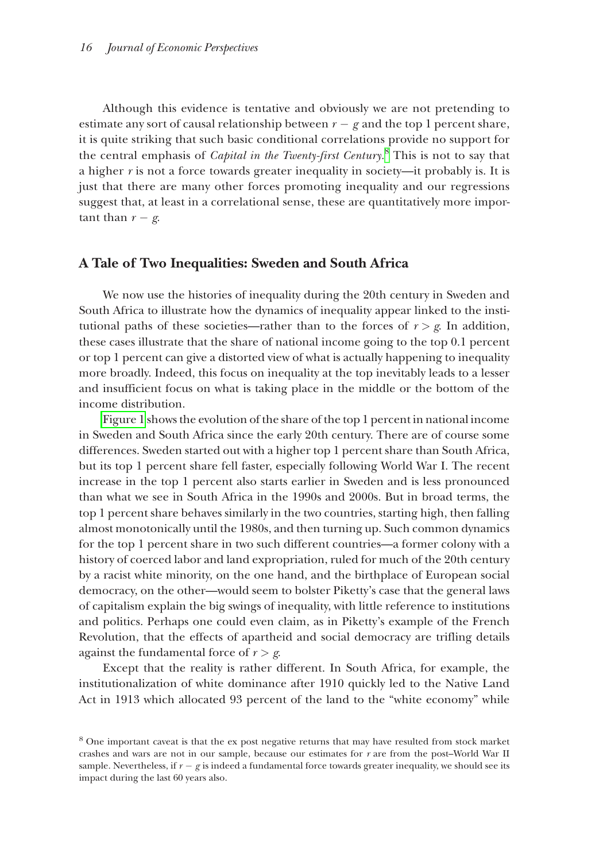Although this evidence is tentative and obviously we are not pretending to estimate any sort of causal relationship between  $r - g$  and the top 1 percent share, it is quite striking that such basic conditional correlations provide no support for the central emphasis of *Capital in the Twenty-first Century.*[8](#page-13-0) This is not to say that a higher *r* is not a force towards greater inequality in society—it probably is. It is just that there are many other forces promoting inequality and our regressions suggest that, at least in a correlational sense, these are quantitatively more important than  $r - g$ .

## **A Tale of Two Inequalities: Sweden and South Africa**

We now use the histories of inequality during the 20th century in Sweden and South Africa to illustrate how the dynamics of inequality appear linked to the institutional paths of these societies—rather than to the forces of  $r > g$ . In addition, these cases illustrate that the share of national income going to the top 0.1 percent or top 1 percent can give a distorted view of what is actually happening to inequality more broadly. Indeed, this focus on inequality at the top inevitably leads to a lesser and insufficient focus on what is taking place in the middle or the bottom of the income distribution.

[Figure 1](#page-14-0) shows the evolution of the share of the top 1 percent in national income in Sweden and South Africa since the early 20th century. There are of course some differences. Sweden started out with a higher top 1 percent share than South Africa, but its top 1 percent share fell faster, especially following World War I. The recent increase in the top 1 percent also starts earlier in Sweden and is less pronounced than what we see in South Africa in the 1990s and 2000s. But in broad terms, the top 1 percent share behaves similarly in the two countries, starting high, then falling almost monotonically until the 1980s, and then turning up. Such common dynamics for the top 1 percent share in two such different countries—a former colony with a history of coerced labor and land expropriation, ruled for much of the 20th century by a racist white minority, on the one hand, and the birthplace of European social democracy, on the other—would seem to bolster Piketty's case that the general laws of capitalism explain the big swings of inequality, with little reference to institutions and politics. Perhaps one could even claim, as in Piketty's example of the French Revolution, that the effects of apartheid and social democracy are trifling details against the fundamental force of *r* > *g*.

Except that the reality is rather different. In South Africa, for example, the institutionalization of white dominance after 1910 quickly led to the Native Land Act in 1913 which allocated 93 percent of the land to the "white economy" while

<span id="page-13-0"></span><sup>8</sup> One important caveat is that the ex post negative returns that may have resulted from stock market crashes and wars are not in our sample, because our estimates for *r* are from the post–World War II sample. Nevertheless, if  $r - g$  is indeed a fundamental force towards greater inequality, we should see its impact during the last 60 years also.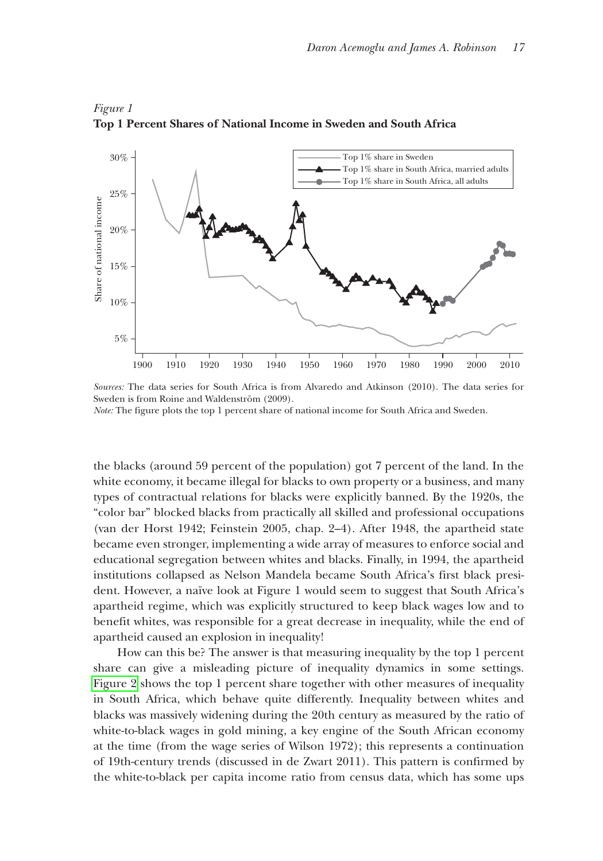

<span id="page-14-0"></span>*Figure 1* **Top 1 Percent Shares of National Income in Sweden and South Africa**

*Sources:* The data series for South Africa is from Alvaredo and Atkinson (2010). The data series for Sweden is from Roine and Waldenström (2009).

*Note:* The figure plots the top 1 percent share of national income for South Africa and Sweden.

the blacks (around 59 percent of the population) got 7 percent of the land. In the white economy, it became illegal for blacks to own property or a business, and many types of contractual relations for blacks were explicitly banned. By the 1920s, the "color bar" blocked blacks from practically all skilled and professional occupations (van der Horst 1942; Feinstein 2005, chap. 2–4). After 1948, the apartheid state became even stronger, implementing a wide array of measures to enforce social and educational segregation between whites and blacks. Finally, in 1994, the apartheid institutions collapsed as Nelson Mandela became South Africa's first black president. However, a naïve look at Figure 1 would seem to suggest that South Africa's apartheid regime, which was explicitly structured to keep black wages low and to benefit whites, was responsible for a great decrease in inequality, while the end of apartheid caused an explosion in inequality!

How can this be? The answer is that measuring inequality by the top 1 percent share can give a misleading picture of inequality dynamics in some settings. [Figure 2](#page-15-0) shows the top 1 percent share together with other measures of inequality in South Africa, which behave quite differently. Inequality between whites and blacks was massively widening during the 20th century as measured by the ratio of white-to-black wages in gold mining, a key engine of the South African economy at the time (from the wage series of Wilson 1972); this represents a continuation of 19th-century trends (discussed in de Zwart 2011). This pattern is confirmed by the white-to-black per capita income ratio from census data, which has some ups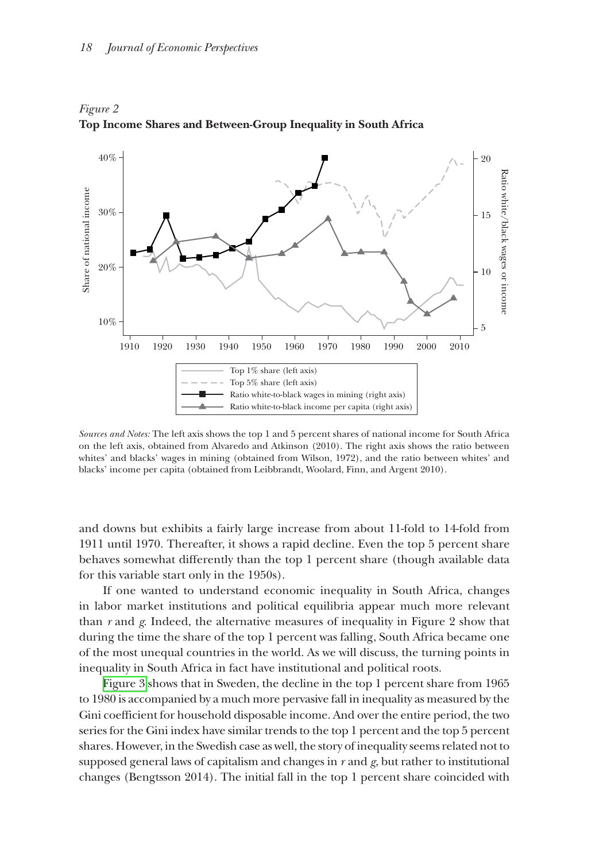

<span id="page-15-0"></span>*Figure 2* **Top Income Shares and Between-Group Inequality in South Africa**

*Sources and Notes:* The left axis shows the top 1 and 5 percent shares of national income for South Africa on the left axis, obtained from Alvaredo and Atkinson (2010). The right axis shows the ratio between whites' and blacks' wages in mining (obtained from Wilson, 1972), and the ratio between whites' and blacks' income per capita (obtained from Leibbrandt, Woolard, Finn, and Argent 2010).

and downs but exhibits a fairly large increase from about 11-fold to 14-fold from 1911 until 1970. Thereafter, it shows a rapid decline. Even the top 5 percent share behaves somewhat differently than the top 1 percent share (though available data for this variable start only in the 1950s).

If one wanted to understand economic inequality in South Africa, changes in labor market institutions and political equilibria appear much more relevant than *r* and *g*. Indeed, the alternative measures of inequality in Figure 2 show that during the time the share of the top 1 percent was falling, South Africa became one of the most unequal countries in the world. As we will discuss, the turning points in inequality in South Africa in fact have institutional and political roots.

[Figure 3](#page-16-0) shows that in Sweden, the decline in the top 1 percent share from 1965 to 1980 is accompanied by a much more pervasive fall in inequality as measured by the Gini coefficient for household disposable income. And over the entire period, the two series for the Gini index have similar trends to the top 1 percent and the top 5 percent shares. However, in the Swedish case as well, the story of inequality seems related not to supposed general laws of capitalism and changes in *r* and *g*, but rather to institutional changes (Bengtsson 2014). The initial fall in the top 1 percent share coincided with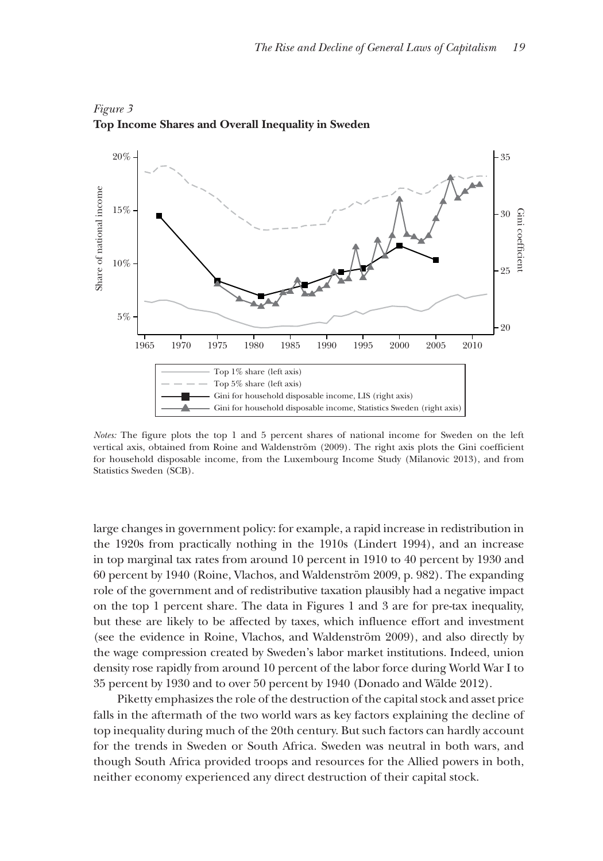

<span id="page-16-0"></span>*Figure 3* **Top Income Shares and Overall Inequality in Sweden**

*Notes:* The figure plots the top 1 and 5 percent shares of national income for Sweden on the left vertical axis, obtained from Roine and Waldenström (2009). The right axis plots the Gini coefficient for household disposable income, from the Luxembourg Income Study (Milanovic 2013), and from Statistics Sweden (SCB).

large changes in government policy: for example, a rapid increase in redistribution in the 1920s from practically nothing in the 1910s (Lindert 1994), and an increase in top marginal tax rates from around 10 percent in 1910 to 40 percent by 1930 and 60 percent by 1940 (Roine, Vlachos, and Waldenström 2009, p. 982). The expanding role of the government and of redistributive taxation plausibly had a negative impact on the top 1 percent share. The data in Figures 1 and 3 are for pre-tax inequality, but these are likely to be affected by taxes, which influence effort and investment (see the evidence in Roine, Vlachos, and Waldenström 2009), and also directly by the wage compression created by Sweden's labor market institutions. Indeed, union density rose rapidly from around 10 percent of the labor force during World War I to 35 percent by 1930 and to over 50 percent by 1940 (Donado and Wälde 2012).

Piketty emphasizes the role of the destruction of the capital stock and asset price falls in the aftermath of the two world wars as key factors explaining the decline of top inequality during much of the 20th century. But such factors can hardly account for the trends in Sweden or South Africa. Sweden was neutral in both wars, and though South Africa provided troops and resources for the Allied powers in both, neither economy experienced any direct destruction of their capital stock.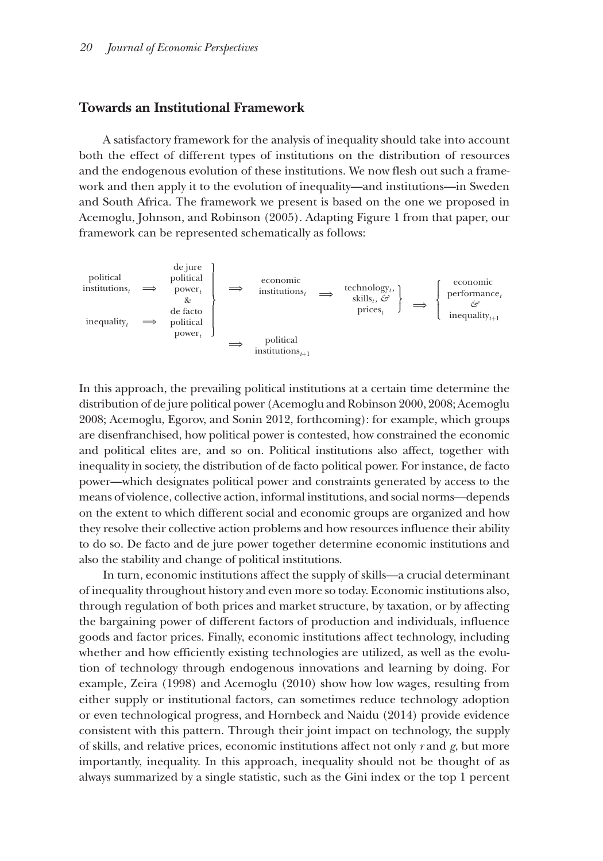#### **Towards an Institutional Framework**

A satisfactory framework for the analysis of inequality should take into account both the effect of different types of institutions on the distribution of resources and the endogenous evolution of these institutions. We now flesh out such a framework and then apply it to the evolution of inequality—and institutions—in Sweden and South Africa. The framework we present is based on the one we proposed in Acemoglu, Johnson, and Robinson (2005). Adapting Figure 1 from that paper, our framework can be represented schematically as follows:



In this approach, the prevailing political institutions at a certain time determine the distribution of de jure political power (Acemoglu and Robinson 2000, 2008; Acemoglu 2008; Acemoglu, Egorov, and Sonin 2012, forthcoming): for example, which groups are disenfranchised, how political power is contested, how constrained the economic and political elites are, and so on. Political institutions also affect, together with inequality in society, the distribution of de facto political power. For instance, de facto power—which designates political power and constraints generated by access to the means of violence, collective action, informal institutions, and social norms—depends on the extent to which different social and economic groups are organized and how they resolve their collective action problems and how resources influence their ability to do so. De facto and de jure power together determine economic institutions and also the stability and change of political institutions.

In turn, economic institutions affect the supply of skills—a crucial determinant of inequality throughout history and even more so today. Economic institutions also, through regulation of both prices and market structure, by taxation, or by affecting the bargaining power of different factors of production and individuals, influence goods and factor prices. Finally, economic institutions affect technology, including whether and how efficiently existing technologies are utilized, as well as the evolution of technology through endogenous innovations and learning by doing. For example, Zeira (1998) and Acemoglu (2010) show how low wages, resulting from either supply or institutional factors, can sometimes reduce technology adoption or even technological progress, and Hornbeck and Naidu (2014) provide evidence consistent with this pattern. Through their joint impact on technology, the supply of skills, and relative prices, economic institutions affect not only *r* and *g*, but more importantly, inequality. In this approach, inequality should not be thought of as always summarized by a single statistic, such as the Gini index or the top 1 percent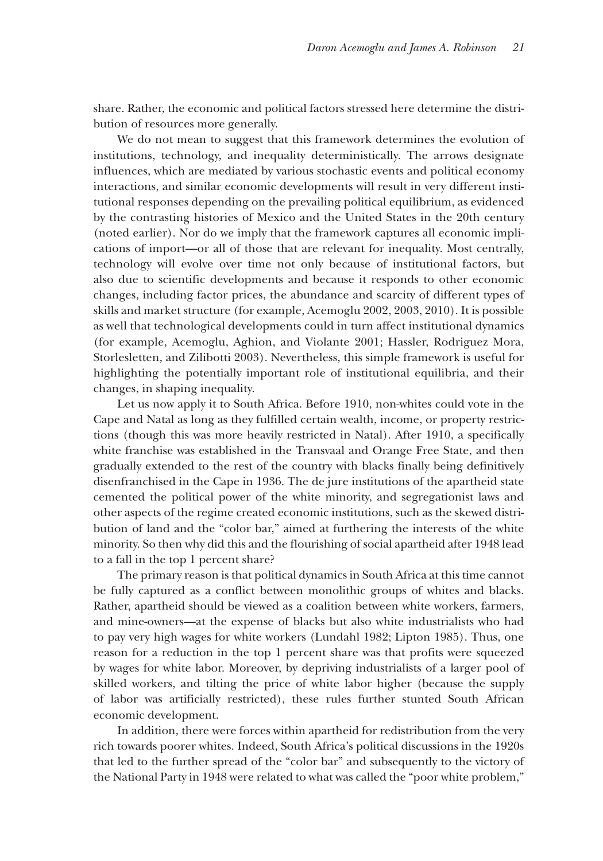share. Rather, the economic and political factors stressed here determine the distribution of resources more generally.

We do not mean to suggest that this framework determines the evolution of institutions, technology, and inequality deterministically. The arrows designate influences, which are mediated by various stochastic events and political economy interactions, and similar economic developments will result in very different institutional responses depending on the prevailing political equilibrium, as evidenced by the contrasting histories of Mexico and the United States in the 20th century (noted earlier). Nor do we imply that the framework captures all economic implications of import—or all of those that are relevant for inequality. Most centrally, technology will evolve over time not only because of institutional factors, but also due to scientific developments and because it responds to other economic changes, including factor prices, the abundance and scarcity of different types of skills and market structure (for example, Acemoglu 2002, 2003, 2010). It is possible as well that technological developments could in turn affect institutional dynamics (for example, Acemoglu, Aghion, and Violante 2001; Hassler, Rodriguez Mora, Storlesletten, and Zilibotti 2003). Nevertheless, this simple framework is useful for highlighting the potentially important role of institutional equilibria, and their changes, in shaping inequality.

Let us now apply it to South Africa. Before 1910, non-whites could vote in the Cape and Natal as long as they fulfilled certain wealth, income, or property restrictions (though this was more heavily restricted in Natal). After 1910, a specifically white franchise was established in the Transvaal and Orange Free State, and then gradually extended to the rest of the country with blacks finally being definitively disenfranchised in the Cape in 1936. The de jure institutions of the apartheid state cemented the political power of the white minority, and segregationist laws and other aspects of the regime created economic institutions, such as the skewed distribution of land and the "color bar," aimed at furthering the interests of the white minority. So then why did this and the flourishing of social apartheid after 1948 lead to a fall in the top 1 percent share?

The primary reason is that political dynamics in South Africa at this time cannot be fully captured as a conflict between monolithic groups of whites and blacks. Rather, apartheid should be viewed as a coalition between white workers, farmers, and mine-owners—at the expense of blacks but also white industrialists who had to pay very high wages for white workers (Lundahl 1982; Lipton 1985). Thus, one reason for a reduction in the top 1 percent share was that profits were squeezed by wages for white labor. Moreover, by depriving industrialists of a larger pool of skilled workers, and tilting the price of white labor higher (because the supply of labor was artificially restricted), these rules further stunted South African economic development.

In addition, there were forces within apartheid for redistribution from the very rich towards poorer whites. Indeed, South Africa's political discussions in the 1920s that led to the further spread of the "color bar" and subsequently to the victory of the National Party in 1948 were related to what was called the "poor white problem,"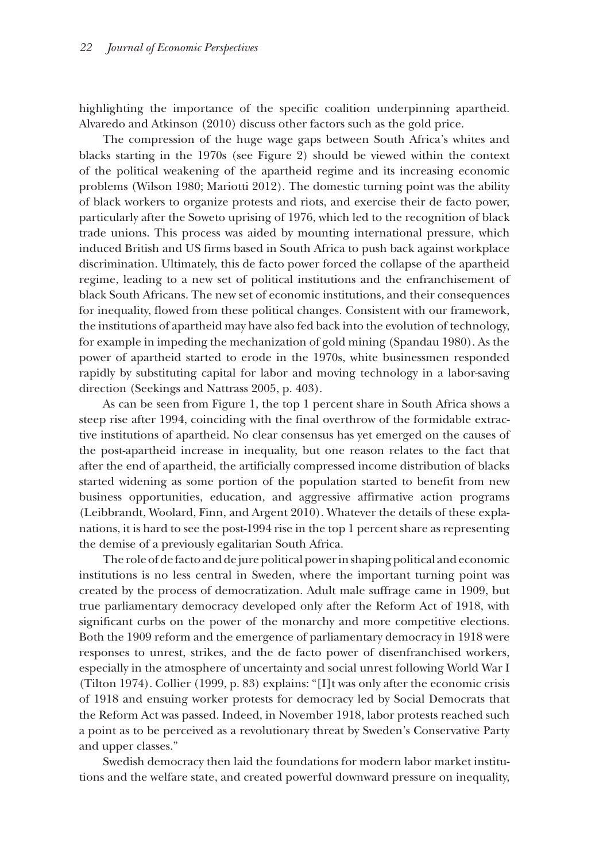highlighting the importance of the specific coalition underpinning apartheid. Alvaredo and Atkinson (2010) discuss other factors such as the gold price.

The compression of the huge wage gaps between South Africa's whites and blacks starting in the 1970s (see Figure 2) should be viewed within the context of the political weakening of the apartheid regime and its increasing economic problems (Wilson 1980; Mariotti 2012). The domestic turning point was the ability of black workers to organize protests and riots, and exercise their de facto power, particularly after the Soweto uprising of 1976, which led to the recognition of black trade unions. This process was aided by mounting international pressure, which induced British and US firms based in South Africa to push back against workplace discrimination. Ultimately, this de facto power forced the collapse of the apartheid regime, leading to a new set of political institutions and the enfranchisement of black South Africans. The new set of economic institutions, and their consequences for inequality, flowed from these political changes. Consistent with our framework, the institutions of apartheid may have also fed back into the evolution of technology, for example in impeding the mechanization of gold mining (Spandau 1980). As the power of apartheid started to erode in the 1970s, white businessmen responded rapidly by substituting capital for labor and moving technology in a labor-saving direction (Seekings and Nattrass 2005, p. 403).

As can be seen from Figure 1, the top 1 percent share in South Africa shows a steep rise after 1994, coinciding with the final overthrow of the formidable extractive institutions of apartheid. No clear consensus has yet emerged on the causes of the post-apartheid increase in inequality, but one reason relates to the fact that after the end of apartheid, the artificially compressed income distribution of blacks started widening as some portion of the population started to benefit from new business opportunities, education, and aggressive affirmative action programs (Leibbrandt, Woolard, Finn, and Argent 2010). Whatever the details of these explanations, it is hard to see the post-1994 rise in the top 1 percent share as representing the demise of a previously egalitarian South Africa.

The role of de facto and de jure political power in shaping political and economic institutions is no less central in Sweden, where the important turning point was created by the process of democratization. Adult male suffrage came in 1909, but true parliamentary democracy developed only after the Reform Act of 1918, with significant curbs on the power of the monarchy and more competitive elections. Both the 1909 reform and the emergence of parliamentary democracy in 1918 were responses to unrest, strikes, and the de facto power of disenfranchised workers, especially in the atmosphere of uncertainty and social unrest following World War I (Tilton 1974). Collier (1999, p. 83) explains: "[I]t was only after the economic crisis of 1918 and ensuing worker protests for democracy led by Social Democrats that the Reform Act was passed. Indeed, in November 1918, labor protests reached such a point as to be perceived as a revolutionary threat by Sweden's Conservative Party and upper classes."

Swedish democracy then laid the foundations for modern labor market institutions and the welfare state, and created powerful downward pressure on inequality,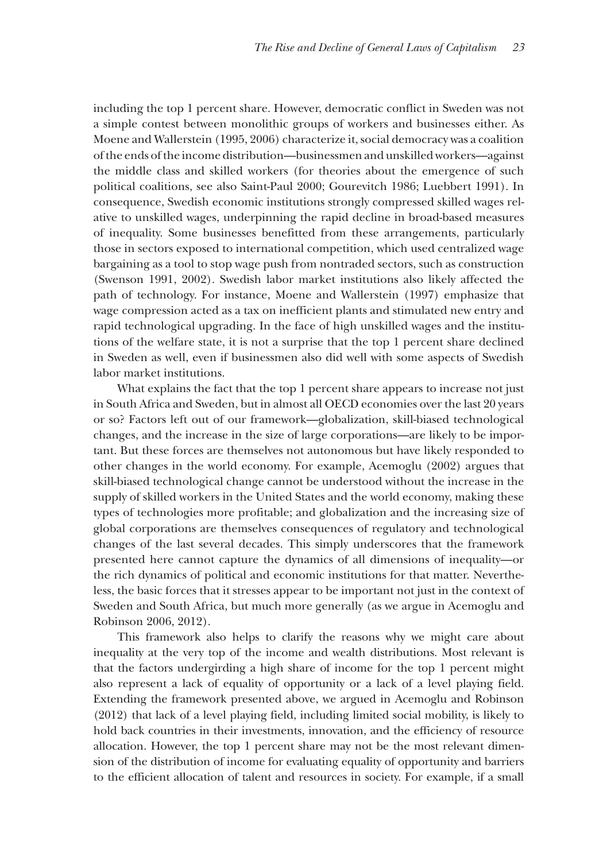including the top 1 percent share. However, democratic conflict in Sweden was not a simple contest between monolithic groups of workers and businesses either. As Moene and Wallerstein (1995, 2006) characterize it, social democracy was a coalition of the ends of the income distribution—businessmen and unskilled workers—against the middle class and skilled workers (for theories about the emergence of such political coalitions, see also Saint-Paul 2000; Gourevitch 1986; Luebbert 1991). In consequence, Swedish economic institutions strongly compressed skilled wages relative to unskilled wages, underpinning the rapid decline in broad-based measures of inequality. Some businesses benefitted from these arrangements, particularly those in sectors exposed to international competition, which used centralized wage bargaining as a tool to stop wage push from nontraded sectors, such as construction (Swenson 1991, 2002). Swedish labor market institutions also likely affected the path of technology. For instance, Moene and Wallerstein (1997) emphasize that wage compression acted as a tax on inefficient plants and stimulated new entry and rapid technological upgrading. In the face of high unskilled wages and the institutions of the welfare state, it is not a surprise that the top 1 percent share declined in Sweden as well, even if businessmen also did well with some aspects of Swedish labor market institutions.

What explains the fact that the top 1 percent share appears to increase not just in South Africa and Sweden, but in almost all OECD economies over the last 20 years or so? Factors left out of our framework—globalization, skill-biased technological changes, and the increase in the size of large corporations—are likely to be important. But these forces are themselves not autonomous but have likely responded to other changes in the world economy. For example, Acemoglu (2002) argues that skill-biased technological change cannot be understood without the increase in the supply of skilled workers in the United States and the world economy, making these types of technologies more profitable; and globalization and the increasing size of global corporations are themselves consequences of regulatory and technological changes of the last several decades. This simply underscores that the framework presented here cannot capture the dynamics of all dimensions of inequality—or the rich dynamics of political and economic institutions for that matter. Nevertheless, the basic forces that it stresses appear to be important not just in the context of Sweden and South Africa, but much more generally (as we argue in Acemoglu and Robinson 2006, 2012).

This framework also helps to clarify the reasons why we might care about inequality at the very top of the income and wealth distributions. Most relevant is that the factors undergirding a high share of income for the top 1 percent might also represent a lack of equality of opportunity or a lack of a level playing field. Extending the framework presented above, we argued in Acemoglu and Robinson (2012) that lack of a level playing field, including limited social mobility, is likely to hold back countries in their investments, innovation, and the efficiency of resource allocation. However, the top 1 percent share may not be the most relevant dimension of the distribution of income for evaluating equality of opportunity and barriers to the efficient allocation of talent and resources in society. For example, if a small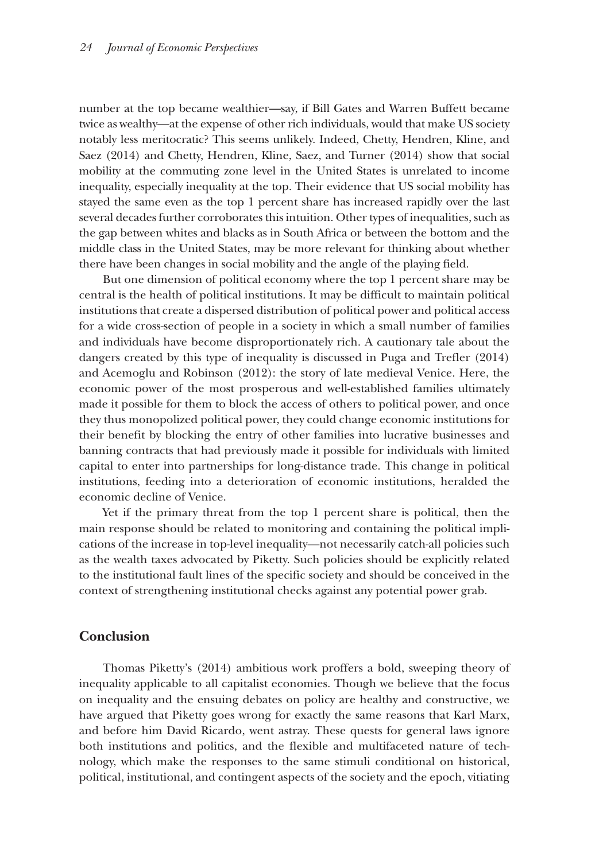number at the top became wealthier—say, if Bill Gates and Warren Buffett became twice as wealthy—at the expense of other rich individuals, would that make US society notably less meritocratic? This seems unlikely. Indeed, Chetty, Hendren, Kline, and Saez (2014) and Chetty, Hendren, Kline, Saez, and Turner (2014) show that social mobility at the commuting zone level in the United States is unrelated to income inequality, especially inequality at the top. Their evidence that US social mobility has stayed the same even as the top 1 percent share has increased rapidly over the last several decades further corroborates this intuition. Other types of inequalities, such as the gap between whites and blacks as in South Africa or between the bottom and the middle class in the United States, may be more relevant for thinking about whether there have been changes in social mobility and the angle of the playing field.

But one dimension of political economy where the top 1 percent share may be central is the health of political institutions. It may be difficult to maintain political institutions that create a dispersed distribution of political power and political access for a wide cross-section of people in a society in which a small number of families and individuals have become disproportionately rich. A cautionary tale about the dangers created by this type of inequality is discussed in Puga and Trefler (2014) and Acemoglu and Robinson (2012): the story of late medieval Venice. Here, the economic power of the most prosperous and well-established families ultimately made it possible for them to block the access of others to political power, and once they thus monopolized political power, they could change economic institutions for their benefit by blocking the entry of other families into lucrative businesses and banning contracts that had previously made it possible for individuals with limited capital to enter into partnerships for long-distance trade. This change in political institutions, feeding into a deterioration of economic institutions, heralded the economic decline of Venice.

Yet if the primary threat from the top 1 percent share is political, then the main response should be related to monitoring and containing the political implications of the increase in top-level inequality—not necessarily catch-all policies such as the wealth taxes advocated by Piketty. Such policies should be explicitly related to the institutional fault lines of the specific society and should be conceived in the context of strengthening institutional checks against any potential power grab.

## **Conclusion**

Thomas Piketty's (2014) ambitious work proffers a bold, sweeping theory of inequality applicable to all capitalist economies. Though we believe that the focus on inequality and the ensuing debates on policy are healthy and constructive, we have argued that Piketty goes wrong for exactly the same reasons that Karl Marx, and before him David Ricardo, went astray. These quests for general laws ignore both institutions and politics, and the flexible and multifaceted nature of technology, which make the responses to the same stimuli conditional on historical, political, institutional, and contingent aspects of the society and the epoch, vitiating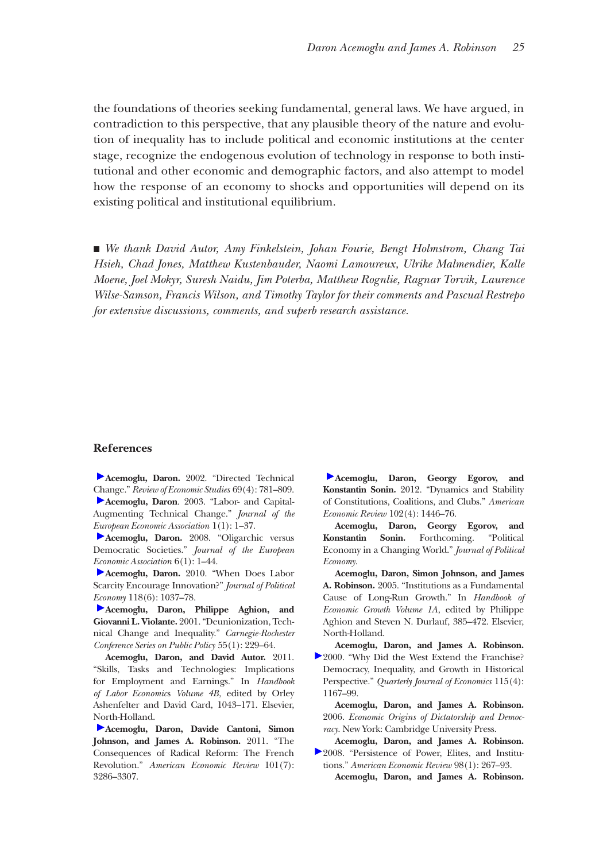the foundations of theories seeking fundamental, general laws. We have argued, in contradiction to this perspective, that any plausible theory of the nature and evolution of inequality has to include political and economic institutions at the center stage, recognize the endogenous evolution of technology in response to both institutional and other economic and demographic factors, and also attempt to model how the response of an economy to shocks and opportunities will depend on its existing political and institutional equilibrium.

■ We thank David Autor, Amy Finkelstein, Johan Fourie, Bengt Holmstrom, Chang Tai *Hsieh, Chad Jones, Matthew Kustenbauder, Naomi Lamoureux, Ulrike Malmendier, Kalle Moene, Joel Mokyr, Suresh Naidu, Jim Poterba, Matthew Rognlie, Ragnar Torvik, Laurence Wilse-Samson, Francis Wilson, and Timothy Taylor for their comments and Pascual Restrepo for extensive discussions, comments, and superb research assistance.*

#### **References**

**Acemoglu, Daron.** 2002. "Directed Technical [Cha](http://pubs.aeaweb.org/action/showLinks?crossref=10.1162%2F154247603322256756)nge." *Review of Economic Studies* 69(4): 781–809. **Acemoglu, Daron**. 2003. "Labor- and Capital-Augmenting Technical Change." *Journal of the [Eur](http://pubs.aeaweb.org/action/showLinks?crossref=10.1162%2FJEEA.2008.6.1.1)opean Economic Association* 1(1): 1–37.

**Acemoglu, Daron.** 2008. "Oligarchic versus Democratic Societies." *Journal of the European [Eco](http://pubs.aeaweb.org/action/showLinks?crossref=10.1086%2F658160)nomic Association* 6(1): 1–44.

**Acemoglu, Daron.** 2010. "When Does Labor Scarcity Encourage Innovation?" *Journal of Political [Eco](http://pubs.aeaweb.org/action/showLinks?crossref=10.1016%2FS0167-2231%2801%2900058-6)nomy* 118(6): 1037–78.

**Acemoglu, Daron, Philippe Aghion, and Giovanni L. Violante.** 2001. "Deunionization, Technical Change and Inequality." *Carnegie-Rochester Conference Series on Public Policy* 55(1): 229–64.

**Acemoglu, Daron, and David Autor.** 2011. "Skills, Tasks and Technologies: Implications for Employment and Earnings." In *Handbook of Labor Economic*s *Volume 4B*, edited by Orley Ashenfelter and David Card, 1043–171. Elsevier, [No](http://pubs.aeaweb.org/action/showLinks?system=10.1257%2Faer.101.7.3286)rth-Holland.

**Acemoglu, Daron, Davide Cantoni, Simon Johnson, and James A. Robinson.** 2011. "The Consequences of Radical Reform: The French Revolution." *American Economic Review* 101(7): 3286–3307.

**[A](http://pubs.aeaweb.org/action/showLinks?system=10.1257%2Faer.102.4.1446)cemoglu, Daron, Georgy Egorov, and Konstantin Sonin.** 2012. "Dynamics and Stability of Constitutions, Coalitions, and Clubs." *American Economic Review* 102(4): 1446–76.

**Acemoglu, Daron, Georgy Egorov, and Konstantin Sonin.** Forthcoming. "Political Economy in a Changing World." *Journal of Political Economy*.

**Acemoglu, Daron, Simon Johnson, and James A. Robinson.** 2005. "Institutions as a Fundamental Cause of Long-Run Growth." In *Handbook of Economic Growth Volume 1A*, edited by Philippe Aghion and Steven N. Durlauf, 385–472. Elsevier, North-Holland.

**Acemoglu, Daron, and James A. Robinson.**  [2](http://pubs.aeaweb.org/action/showLinks?crossref=10.1162%2F003355300555042)000. "Why Did the West Extend the Franchise? Democracy, Inequality, and Growth in Historical Perspective." *Quarterly Journal of Economics* 115(4): 1167–99.

**Acemoglu, Daron, and James A. Robinson.**  2006. *Economic Origins of Dictatorship and Democracy*. New York: Cambridge University Press.

**Acemoglu, Daron, and James A. Robinson.**  [2](http://pubs.aeaweb.org/action/showLinks?system=10.1257%2Faer.98.1.267)008. "Persistence of Power, Elites, and Institutions." *American Economic Review* 98(1): 267–93.

**Acemoglu, Daron, and James A. Robinson.**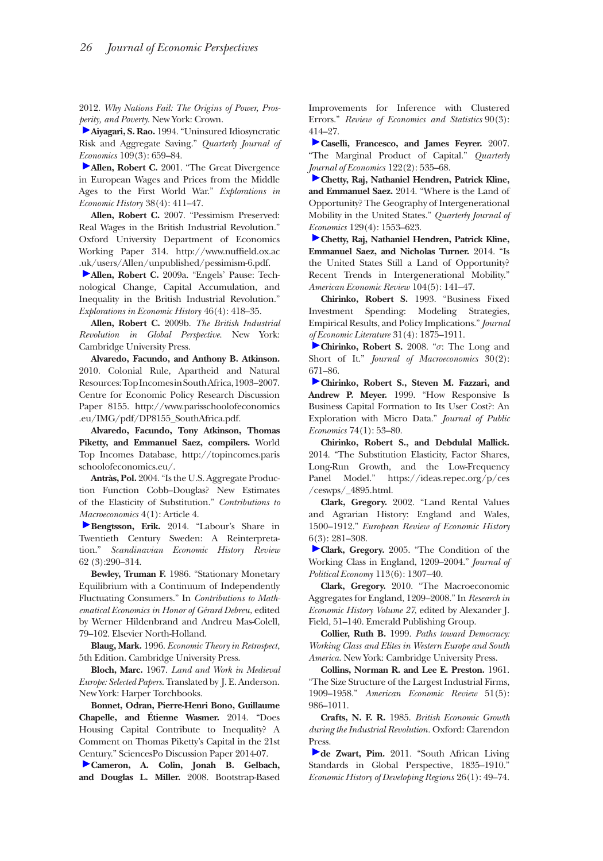2012. *Why Nations Fail: The Origins of Power, Prosperity, and Poverty*. New York: Crown.

**Aiyagari, S. Rao.** 1994. "Uninsured Idiosyncratic Risk and Aggregate Saving." *Quarterly Journal of Economics* 109(3): 659–84.

[A](http://pubs.aeaweb.org/action/showLinks?crossref=10.1006%2Fexeh.2001.0775)llen, Robert C. 2001. "The Great Divergence" in European Wages and Prices from the Middle Ages to the First World War." *Explorations in Economic History* 38(4): 411–47.

**Allen, Robert C.** 2007. "Pessimism Preserved: Real Wages in the British Industrial Revolution." Oxford University Department of Economics Working Paper 314. [http://www.nuffield.ox.ac](http://www.nuffield.ox.ac.uk/users/Allen/unpublished/pessimism-6.pdf) [.uk/users/Allen/unpublished/pessimism-6.pdf.](http://www.nuffield.ox.ac.uk/users/Allen/unpublished/pessimism-6.pdf)

**[A](http://pubs.aeaweb.org/action/showLinks?crossref=10.1016%2Fj.eeh.2009.04.004)llen, Robert C.** 2009a. "Engels' Pause: Technological Change, Capital Accumulation, and Inequality in the British Industrial Revolution." *Explorations in Economic History* 46(4): 418–35.

**Allen, Robert C.** 2009b. *The British Industrial Revolution in Global Perspective*. New York: Cambridge University Press.

**Alvaredo, Facundo, and Anthony B. Atkinson.**  2010. Colonial Rule, Apartheid and Natural Resources: Top Incomes in South Africa, 1903–2007. Centre for Economic Policy Research Discussion Paper 8155. [http://www.parisschoolofeconomics](http://www.parisschoolofeconomics.eu/IMG/pdf/DP8155_SouthAfrica.pdf) [.eu/IMG/pdf/DP8155\\_SouthAfrica.pdf](http://www.parisschoolofeconomics.eu/IMG/pdf/DP8155_SouthAfrica.pdf).

**Alvaredo, Facundo, Tony Atkinson, Thomas Piketty, and Emmanuel Saez, compilers.** World Top Incomes Database, [http://topincomes.paris](http://topincomes.parisschoolofeconomics.eu/) [schoolofeconomics.eu/.](http://topincomes.parisschoolofeconomics.eu/)

**Antràs, Pol.** 2004. "Is the U.S. Aggregate Production Function Cobb–Douglas? New Estimates of the Elasticity of Substitution." *Contributions to Macroeconomics* 4(1): Article 4.

**[B](http://pubs.aeaweb.org/action/showLinks?crossref=10.1080%2F03585522.2014.932837)engtsson, Erik.** 2014. "Labour's Share in Twentieth Century Sweden: A Reinterpretation." *Scandinavian Economic History Review* 62 (3):290–314.

**Bewley, Truman F.** 1986. "Stationary Monetary Equilibrium with a Continuum of Independently Fluctuating Consumers." In *Contributions to Mathematical Economics in Honor of Gérard Debreu*, edited by Werner Hildenbrand and Andreu Mas-Colell, 79–102. Elsevier North-Holland.

**Blaug, Mark.** 1996. *Economic Theory in Retrospect*, 5th Edition. Cambridge University Press.

**Bloch, Marc.** 1967. *Land and Work in Medieval Europe: Selected Papers*. Translated by J. E. Anderson. New York: Harper Torchbooks.

**Bonnet, Odran, Pierre-Henri Bono, Guillaume Chapelle, and Étienne Wasmer.** 2014. "Does Housing Capital Contribute to Inequality? A Comment on Thomas Piketty's Capital in the 21st Century." SciencesPo Discussion Paper 2014-07.

**[C](http://pubs.aeaweb.org/action/showLinks?crossref=10.1162%2Frest.90.3.414)ameron, A. Colin, Jonah B. Gelbach, and Douglas L. Miller.** 2008. Bootstrap-Based Improvements for Inference with Clustered Errors." *Review of Economics and Statistics* 90(3): 414–27.

**[C](http://pubs.aeaweb.org/action/showLinks?crossref=10.1162%2Fqjec.122.2.535)aselli, Francesco, and James Feyrer.** 2007. "The Marginal Product of Capital." *Quarterly Journal of Economics* 122(2): 535–68.

**[C](http://pubs.aeaweb.org/action/showLinks?crossref=10.1093%2Fqje%2Fqju022)hetty, Raj, Nathaniel Hendren, Patrick Kline, and Emmanuel Saez.** 2014. "Where is the Land of Opportunity? The Geography of Intergenerational Mobility in the United States." *Quarterly Journal of Economics* 129(4): 1553–623.

**[C](http://pubs.aeaweb.org/action/showLinks?system=10.1257%2Faer.104.5.141)hetty, Raj, Nathaniel Hendren, Patrick Kline, Emmanuel Saez, and Nicholas Turner.** 2014. "Is the United States Still a Land of Opportunity? Recent Trends in Intergenerational Mobility." *American Economic Review* 104(5): 141–47.

**Chirinko, Robert S.** 1993. "Business Fixed Investment Spending: Modeling Strategies, Empirical Results, and Policy Implications." *Journal of Economic Literature* 31(4): 1875–1911.

**[C](http://pubs.aeaweb.org/action/showLinks?crossref=10.1016%2Fj.jmacro.2007.10.010)hirinko, Robert S.** 2008. "σ: The Long and Short of It." *Journal of Macroeconomics* 30(2): 671–86.

**[C](http://pubs.aeaweb.org/action/showLinks?crossref=10.1016%2FS0047-2727%2899%2900024-9)hirinko, Robert S., Steven M. Fazzari, and Andrew P. Meyer.** 1999. "How Responsive Is Business Capital Formation to Its User Cost?: An Exploration with Micro Data." *Journal of Public Economics* 74(1): 53–80.

**Chirinko, Robert S., and Debdulal Mallick.** 2014. "The Substitution Elasticity, Factor Shares, Long-Run Growth, and the Low-Frequency Panel Model." [https://ideas.repec.org/p/ces](https://ideas.repec.org/p/ces/ceswps/_4895.html) [/ceswps/\\_4895.html.](https://ideas.repec.org/p/ces/ceswps/_4895.html)

**Clark, Gregory.** 2002. "Land Rental Values and Agrarian History: England and Wales, 1500–1912." *European Review of Economic History* 6(3): 281–308.

**[C](http://pubs.aeaweb.org/action/showLinks?crossref=10.1086%2F498123)lark, Gregory.** 2005. "The Condition of the Working Class in England, 1209–2004." *Journal of Political Economy* 113(6): 1307–40.

**Clark, Gregory.** 2010. "The Macroeconomic Aggregates for England, 1209–2008." In *Research in Economic History Volume 27*, edited by Alexander J. Field, 51–140. Emerald Publishing Group.

**Collier, Ruth B.** 1999. *Paths toward Democracy: Working Class and Elites in Western Europe and South America*. New York: Cambridge University Press.

**Collins, Norman R. and Lee E. Preston.** 1961. "The Size Structure of the Largest Industrial Firms, 1909–1958." *American Economic Review* 51(5): 986–1011.

**Crafts, N. F. R.** 1985. *British Economic Growth during the Industrial Revolution.* Oxford: Clarendon Press.

**[d](http://pubs.aeaweb.org/action/showLinks?crossref=10.1080%2F20780389.2011.583003)e Zwart, Pim.** 2011. "South African Living Standards in Global Perspective, 1835–1910." *Economic History of Developing Regions* 26(1): 49–74.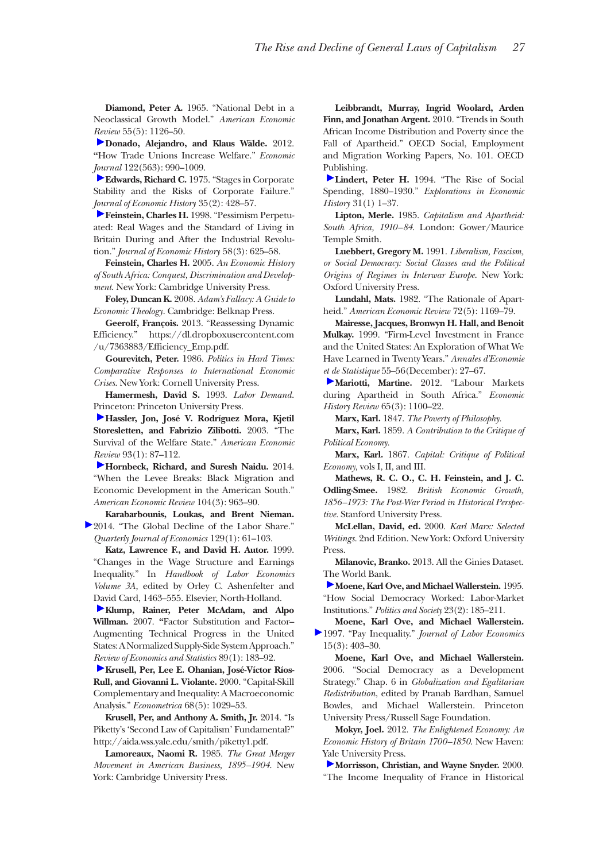**Diamond, Peter A.** 1965. "National Debt in a Neoclassical Growth Model." *American Economic Review* 55(5): 1126–50.

**Donado, Alejandro, and Klaus Wälde.** 2012. **"**How Trade Unions Increase Welfare." *Economic Journal* 122(563): 990–1009.

**Edwards, Richard C.** 1975. "Stages in Corporate Stability and the Risks of Corporate Failure." *Journal of Economic History* 35(2): 428–57.

**Feinstein, Charles H.** 1998. "Pessimism Perpetuated: Real Wages and the Standard of Living in Britain During and After the Industrial Revolution." *Journal of Economic History* 58(3): 625–58.

**Feinstein, Charles H.** 2005. *An Economic History of South Africa: Conquest, Discrimination and Development*. New York: Cambridge University Press.

**Foley, Duncan K.** 2008. *Adam's Fallacy: A Guide to Economic Theology*. Cambridge: Belknap Press.

**Geerolf, François.** 2013. "Reassessing Dynamic Efficiency." [https://dl.dropboxusercontent.com](https://dl.dropboxusercontent.com/u/7363883/Efficiency_Emp.pdf) [/u/7363883/Efficiency\\_Emp.pdf.](https://dl.dropboxusercontent.com/u/7363883/Efficiency_Emp.pdf)

**Gourevitch, Peter.** 1986. *Politics in Hard Times: Comparative Responses to International Economic Crises*. New York: Cornell University Press.

**Hamermesh, David S.** 1993. *Labor Demand*. Princeton: Princeton University Press.

**Hassler, Jon, José V. Rodríguez Mora, Kjetil Storesletten, and Fabrizio Zilibotti.** 2003. "The Survival of the Welfare State." *American Economic Review* 93(1): 87–112.

**Hornbeck, Richard, and Suresh Naidu.** 2014. "When the Levee Breaks: Black Migration and Economic Development in the American South." *American Economic Review* 104(3): 963–90.

**Karabarbounis, Loukas, and Brent Nieman.**  2014. "The Global Decline of the Labor Share." *Quarterly Journal of Economics* 129(1): 61–103.

**Katz, Lawrence F., and David H. Autor.** 1999. "Changes in the Wage Structure and Earnings Inequality." In *Handbook of Labor Economics Volume 3A*, edited by Orley C. Ashenfelter and David Card, 1463–555. Elsevier, North-Holland.

**Klump, Rainer, Peter McAdam, and Alpo Willman.** 2007. **"**Factor Substitution and Factor– Augmenting Technical Progress in the United States: A Normalized Supply-Side System Approach." *Review of Economics and Statistics* 89(1): 183–92.

**Krusell, Per, Lee E. Ohanian, José-Víctor Ríos-Rull, and Giovanni L. Violante.** 2000. "Capital-Skill Complementary and Inequality: A Macroeconomic Analysis." *Econometrica* 68(5): 1029–53.

**Krusell, Per, and Anthony A. Smith, Jr.** 2014. "Is Piketty's 'Second Law of Capitalism' Fundamental?" http://aida.wss.yale.edu/smith/piketty1.pdf.

**Lamoreaux, Naomi R.** 1985. *The Great Merger Movement in American Business, 1895–1904*. New York: Cambridge University Press.

**Leibbrandt, Murray, Ingrid Woolard, Arden Finn, and Jonathan Argent.** 2010. "Trends in South African Income Distribution and Poverty since the Fall of Apartheid." OECD Social, Employment and Migration Working Papers, No. 101. OECD Publishing.

**Lindert, Peter H.** 1994. "The Rise of Social Spending, 1880–1930." *Explorations in Economic History* 31(1) 1–37.

**Lipton, Merle.** 1985. *Capitalism and Apartheid: South Africa, 1910–84*. London: Gower/Maurice Temple Smith.

**Luebbert, Gregory M.** 1991. *Liberalism, Fascism, or Social Democracy: Social Classes and the Political Origins of Regimes in Interwar Europe*. New York: Oxford University Press.

**Lundahl, Mats.** 1982. "The Rationale of Apartheid." *American Economic Review* 72(5): 1169–79.

**Mairesse, Jacques, Bronwyn H. Hall, and Benoit Mulkay.** 1999. "Firm-Level Investment in France and the United States: An Exploration of What We Have Learned in Twenty Years." *Annales d'Economie et de Statistique* 55–56(December): 27–67.

**Mariotti, Martine.** 2012. "Labour Markets during Apartheid in South Africa." *Economic History Review* 65(3): 1100–22.

**Marx, Karl.** 1847. *The Poverty of Philosophy.*

**Marx, Karl.** 1859. *A Contribution to the Critique of Political Economy.*

**Marx, Karl.** 1867. *Capital: Critique of Political Economy,* vols I, II, and III.

**Mathews, R. C. O., C. H. Feinstein, and J. C. Odling-Smee.** 1982. *British Economic Growth, 1856–1973: The Post-War Period in Historical Perspective.* Stanford University Press.

**McLellan, David, ed.** 2000. *Karl Marx: Selected Writings*. 2nd Edition. New York: Oxford University Press.

**Milanovic, Branko.** 2013. All the Ginies Dataset. The World Bank.

**[M](http://pubs.aeaweb.org/action/showLinks?crossref=10.1177%2F0032329295023002003)oene, Karl Ove, and Michael Wallerstein.** 1995. "How Social Democracy Worked: Labor-Market Institutions." *Politics and Society* 23(2): 185–211.

**Moene, Karl Ove, and Michael Wallerstein.**  [1](http://pubs.aeaweb.org/action/showLinks?crossref=10.1086%2F209866)997. "Pay Inequality." *Journal of Labor Economics* 15(3): 403–30.

**Moene, Karl Ove, and Michael Wallerstein.** 2006. "Social Democracy as a Development Strategy." Chap. 6 in *Globalization and Egalitarian Redistribution*, edited by Pranab Bardhan, Samuel Bowles, and Michael Wallerstein. Princeton University Press/Russell Sage Foundation.

**Mokyr, Joel.** 2012. *The Enlightened Economy: An Economic History of Britain 1700–1850*. New Haven: Yale University Press.

**[M](http://pubs.aeaweb.org/action/showLinks?crossref=10.1017%2FS1361491600000149)orrisson, Christian, and Wayne Snyder.** 2000. "The Income Inequality of France in Historical